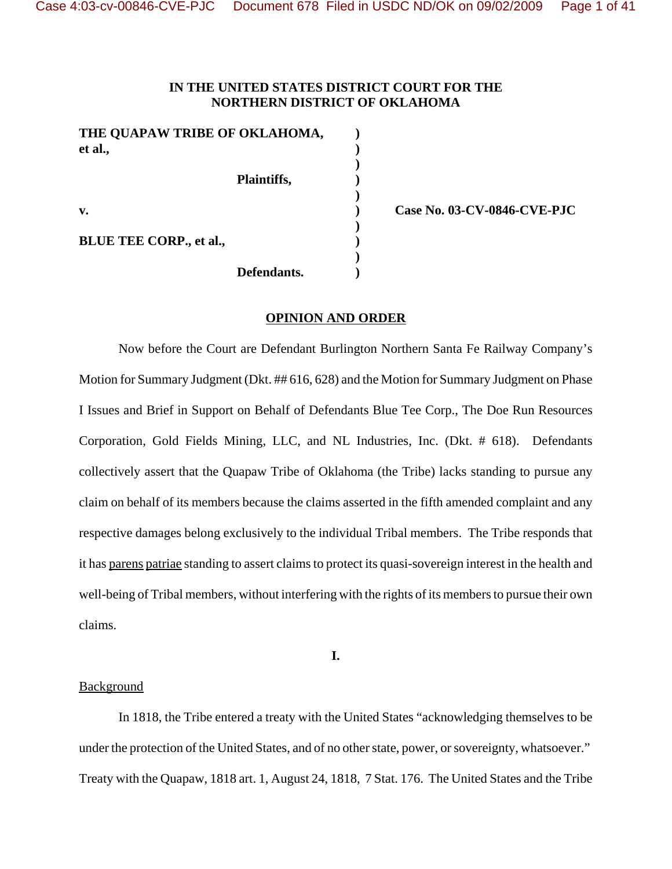# **IN THE UNITED STATES DISTRICT COURT FOR THE NORTHERN DISTRICT OF OKLAHOMA**

**)**

**)**

**)**

**)**

| THE QUAPAW TRIBE OF OKLAHOMA,<br>et al., |             |  |
|------------------------------------------|-------------|--|
|                                          | Plaintiffs, |  |
| $\mathbf{v}$ .                           |             |  |
| <b>BLUE TEE CORP., et al.,</b>           |             |  |
|                                          | Defendants. |  |

**v. ) Case No. 03-CV-0846-CVE-PJC**

## **OPINION AND ORDER**

Now before the Court are Defendant Burlington Northern Santa Fe Railway Company's Motion for Summary Judgment (Dkt. ## 616, 628) and the Motion for Summary Judgment on Phase I Issues and Brief in Support on Behalf of Defendants Blue Tee Corp., The Doe Run Resources Corporation, Gold Fields Mining, LLC, and NL Industries, Inc. (Dkt. # 618). Defendants collectively assert that the Quapaw Tribe of Oklahoma (the Tribe) lacks standing to pursue any claim on behalf of its members because the claims asserted in the fifth amended complaint and any respective damages belong exclusively to the individual Tribal members. The Tribe responds that it has parens patriae standing to assert claims to protect its quasi-sovereign interest in the health and well-being of Tribal members, without interfering with the rights of its members to pursue their own claims.

**I.**

### Background

In 1818, the Tribe entered a treaty with the United States "acknowledging themselves to be under the protection of the United States, and of no other state, power, or sovereignty, whatsoever." Treaty with the Quapaw, 1818 art. 1, August 24, 1818, 7 Stat. 176. The United States and the Tribe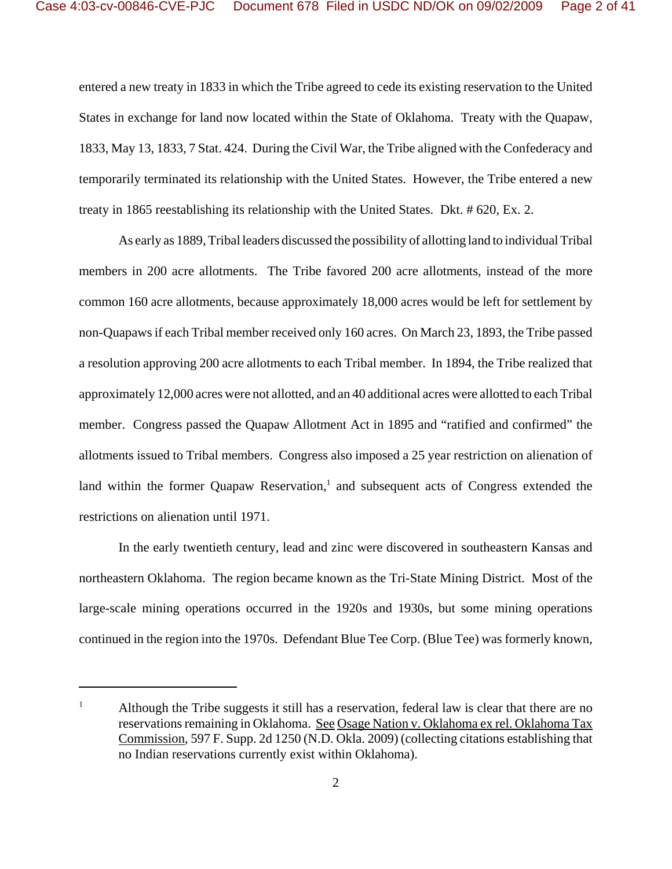entered a new treaty in 1833 in which the Tribe agreed to cede its existing reservation to the United States in exchange for land now located within the State of Oklahoma. Treaty with the Quapaw, 1833, May 13, 1833, 7 Stat. 424. During the Civil War, the Tribe aligned with the Confederacy and temporarily terminated its relationship with the United States. However, the Tribe entered a new treaty in 1865 reestablishing its relationship with the United States. Dkt. # 620, Ex. 2.

As early as 1889, Tribal leaders discussed the possibility of allotting land to individual Tribal members in 200 acre allotments. The Tribe favored 200 acre allotments, instead of the more common 160 acre allotments, because approximately 18,000 acres would be left for settlement by non-Quapaws if each Tribal member received only 160 acres. On March 23, 1893, the Tribe passed a resolution approving 200 acre allotments to each Tribal member. In 1894, the Tribe realized that approximately 12,000 acres were not allotted, and an 40 additional acres were allotted to each Tribal member. Congress passed the Quapaw Allotment Act in 1895 and "ratified and confirmed" the allotments issued to Tribal members. Congress also imposed a 25 year restriction on alienation of land within the former Quapaw Reservation,<sup>1</sup> and subsequent acts of Congress extended the restrictions on alienation until 1971.

In the early twentieth century, lead and zinc were discovered in southeastern Kansas and northeastern Oklahoma. The region became known as the Tri-State Mining District. Most of the large-scale mining operations occurred in the 1920s and 1930s, but some mining operations continued in the region into the 1970s. Defendant Blue Tee Corp. (Blue Tee) was formerly known,

<sup>&</sup>lt;sup>1</sup> Although the Tribe suggests it still has a reservation, federal law is clear that there are no reservations remaining in Oklahoma. See Osage Nation v. Oklahoma ex rel. Oklahoma Tax Commission, 597 F. Supp. 2d 1250 (N.D. Okla. 2009) (collecting citations establishing that no Indian reservations currently exist within Oklahoma).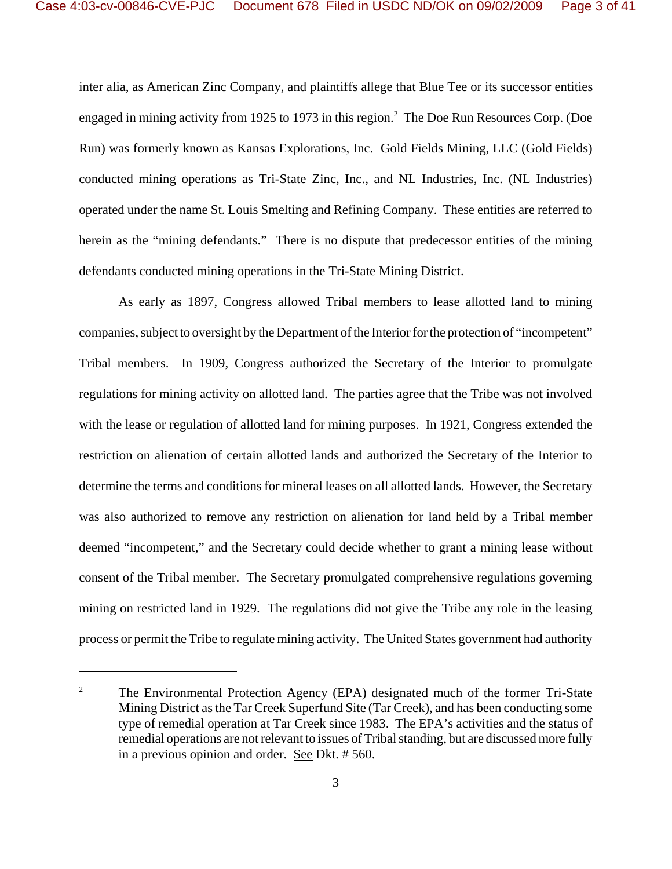inter alia, as American Zinc Company, and plaintiffs allege that Blue Tee or its successor entities engaged in mining activity from 1925 to 1973 in this region.<sup>2</sup> The Doe Run Resources Corp. (Doe Run) was formerly known as Kansas Explorations, Inc. Gold Fields Mining, LLC (Gold Fields) conducted mining operations as Tri-State Zinc, Inc., and NL Industries, Inc. (NL Industries) operated under the name St. Louis Smelting and Refining Company. These entities are referred to herein as the "mining defendants." There is no dispute that predecessor entities of the mining defendants conducted mining operations in the Tri-State Mining District.

As early as 1897, Congress allowed Tribal members to lease allotted land to mining companies, subject to oversight by the Department of the Interior for the protection of "incompetent" Tribal members. In 1909, Congress authorized the Secretary of the Interior to promulgate regulations for mining activity on allotted land. The parties agree that the Tribe was not involved with the lease or regulation of allotted land for mining purposes. In 1921, Congress extended the restriction on alienation of certain allotted lands and authorized the Secretary of the Interior to determine the terms and conditions for mineral leases on all allotted lands. However, the Secretary was also authorized to remove any restriction on alienation for land held by a Tribal member deemed "incompetent," and the Secretary could decide whether to grant a mining lease without consent of the Tribal member. The Secretary promulgated comprehensive regulations governing mining on restricted land in 1929. The regulations did not give the Tribe any role in the leasing process or permit the Tribe to regulate mining activity. The United States government had authority

<sup>&</sup>lt;sup>2</sup> The Environmental Protection Agency (EPA) designated much of the former Tri-State Mining District as the Tar Creek Superfund Site (Tar Creek), and has been conducting some type of remedial operation at Tar Creek since 1983. The EPA's activities and the status of remedial operations are not relevant to issues of Tribal standing, but are discussed more fully in a previous opinion and order. See Dkt. # 560.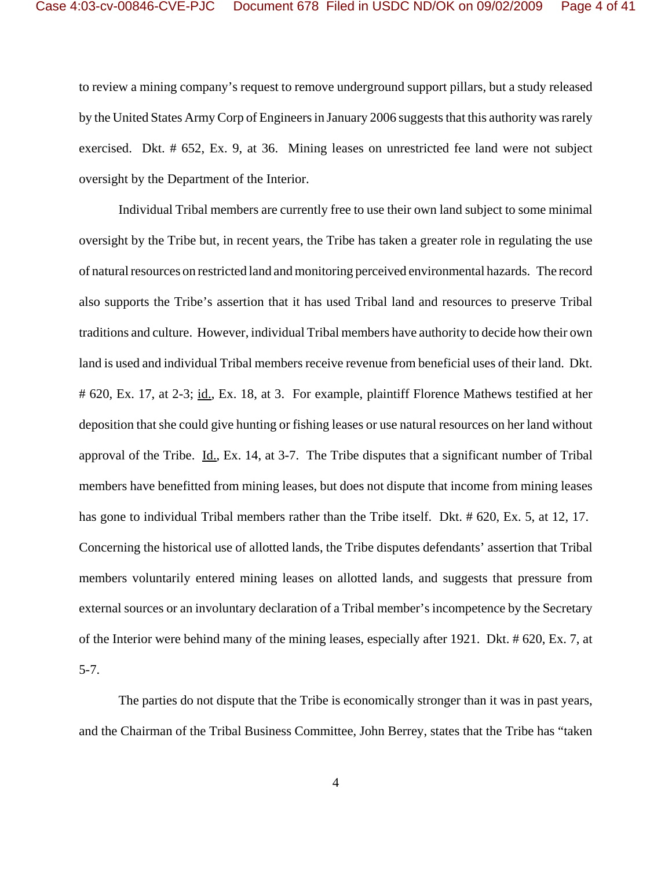to review a mining company's request to remove underground support pillars, but a study released by the United States Army Corp of Engineers in January 2006 suggests that this authority was rarely exercised. Dkt. # 652, Ex. 9, at 36. Mining leases on unrestricted fee land were not subject oversight by the Department of the Interior.

Individual Tribal members are currently free to use their own land subject to some minimal oversight by the Tribe but, in recent years, the Tribe has taken a greater role in regulating the use of natural resources on restricted land and monitoring perceived environmental hazards. The record also supports the Tribe's assertion that it has used Tribal land and resources to preserve Tribal traditions and culture. However, individual Tribal members have authority to decide how their own land is used and individual Tribal members receive revenue from beneficial uses of their land. Dkt. # 620, Ex. 17, at 2-3; id., Ex. 18, at 3. For example, plaintiff Florence Mathews testified at her deposition that she could give hunting or fishing leases or use natural resources on her land without approval of the Tribe. Id., Ex. 14, at 3-7. The Tribe disputes that a significant number of Tribal members have benefitted from mining leases, but does not dispute that income from mining leases has gone to individual Tribal members rather than the Tribe itself. Dkt. # 620, Ex. 5, at 12, 17. Concerning the historical use of allotted lands, the Tribe disputes defendants' assertion that Tribal members voluntarily entered mining leases on allotted lands, and suggests that pressure from external sources or an involuntary declaration of a Tribal member's incompetence by the Secretary of the Interior were behind many of the mining leases, especially after 1921. Dkt. # 620, Ex. 7, at 5-7.

The parties do not dispute that the Tribe is economically stronger than it was in past years, and the Chairman of the Tribal Business Committee, John Berrey, states that the Tribe has "taken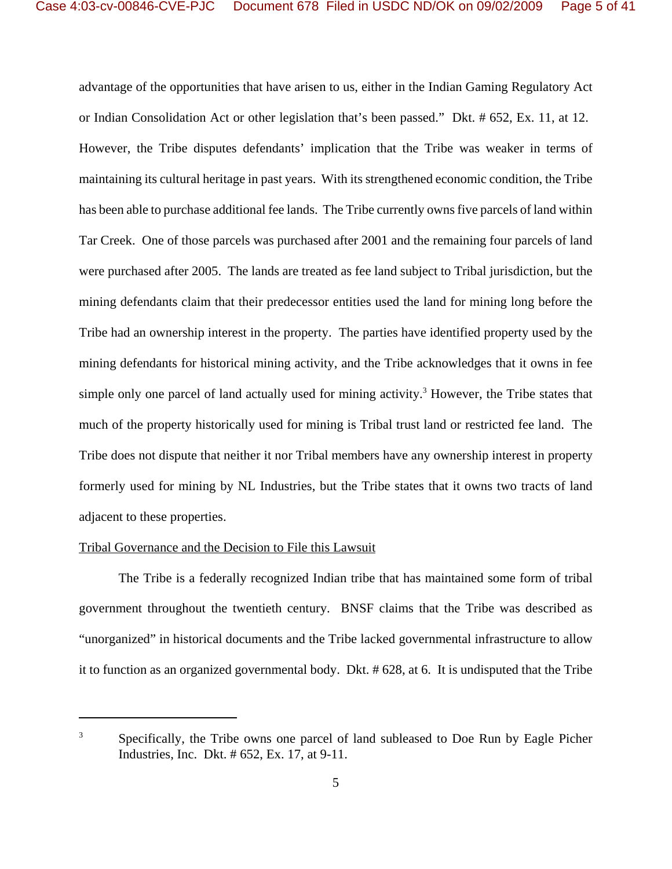advantage of the opportunities that have arisen to us, either in the Indian Gaming Regulatory Act or Indian Consolidation Act or other legislation that's been passed." Dkt. # 652, Ex. 11, at 12. However, the Tribe disputes defendants' implication that the Tribe was weaker in terms of maintaining its cultural heritage in past years. With its strengthened economic condition, the Tribe has been able to purchase additional fee lands. The Tribe currently owns five parcels of land within Tar Creek. One of those parcels was purchased after 2001 and the remaining four parcels of land were purchased after 2005. The lands are treated as fee land subject to Tribal jurisdiction, but the mining defendants claim that their predecessor entities used the land for mining long before the Tribe had an ownership interest in the property. The parties have identified property used by the mining defendants for historical mining activity, and the Tribe acknowledges that it owns in fee simple only one parcel of land actually used for mining activity.<sup>3</sup> However, the Tribe states that much of the property historically used for mining is Tribal trust land or restricted fee land. The Tribe does not dispute that neither it nor Tribal members have any ownership interest in property formerly used for mining by NL Industries, but the Tribe states that it owns two tracts of land adjacent to these properties.

### Tribal Governance and the Decision to File this Lawsuit

The Tribe is a federally recognized Indian tribe that has maintained some form of tribal government throughout the twentieth century. BNSF claims that the Tribe was described as "unorganized" in historical documents and the Tribe lacked governmental infrastructure to allow it to function as an organized governmental body. Dkt. # 628, at 6. It is undisputed that the Tribe

<sup>&</sup>lt;sup>3</sup> Specifically, the Tribe owns one parcel of land subleased to Doe Run by Eagle Picher Industries, Inc. Dkt. # 652, Ex. 17, at 9-11.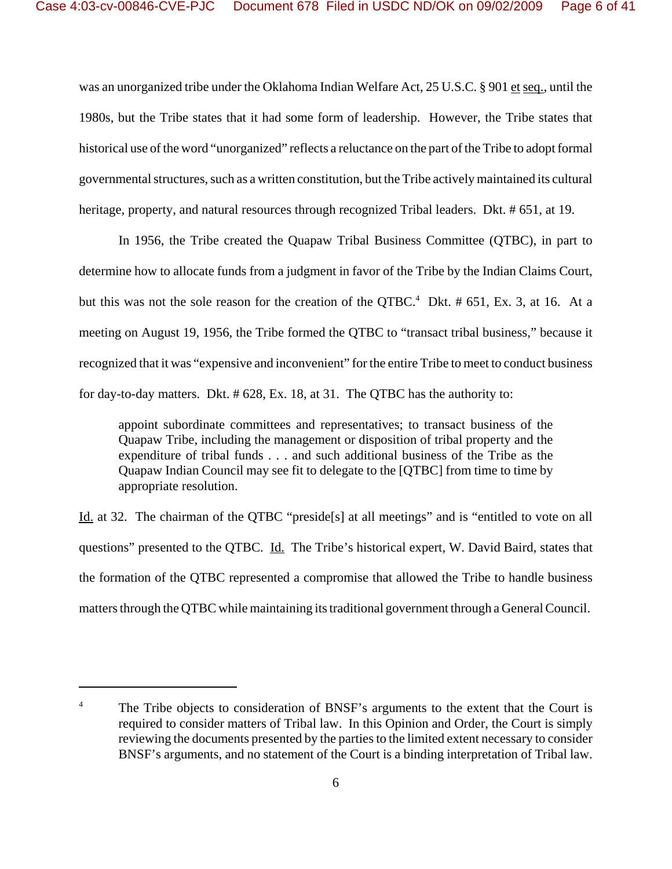was an unorganized tribe under the Oklahoma Indian Welfare Act, 25 U.S.C. § 901 et seq., until the 1980s, but the Tribe states that it had some form of leadership. However, the Tribe states that historical use of the word "unorganized" reflects a reluctance on the part of the Tribe to adopt formal governmental structures, such as a written constitution, but the Tribe actively maintained its cultural heritage, property, and natural resources through recognized Tribal leaders. Dkt. # 651, at 19.

In 1956, the Tribe created the Quapaw Tribal Business Committee (QTBC), in part to determine how to allocate funds from a judgment in favor of the Tribe by the Indian Claims Court, but this was not the sole reason for the creation of the QTBC.<sup>4</sup> Dkt.  $\#$  651, Ex. 3, at 16. At a meeting on August 19, 1956, the Tribe formed the QTBC to "transact tribal business," because it recognized that it was "expensive and inconvenient" for the entire Tribe to meet to conduct business for day-to-day matters. Dkt. # 628, Ex. 18, at 31. The QTBC has the authority to:

appoint subordinate committees and representatives; to transact business of the Quapaw Tribe, including the management or disposition of tribal property and the expenditure of tribal funds . . . and such additional business of the Tribe as the Quapaw Indian Council may see fit to delegate to the [QTBC] from time to time by appropriate resolution.

Id. at 32. The chairman of the QTBC "preside[s] at all meetings" and is "entitled to vote on all questions" presented to the QTBC. Id. The Tribe's historical expert, W. David Baird, states that the formation of the QTBC represented a compromise that allowed the Tribe to handle business matters through the QTBC while maintaining its traditional government through a General Council.

<sup>&</sup>lt;sup>4</sup> The Tribe objects to consideration of BNSF's arguments to the extent that the Court is required to consider matters of Tribal law. In this Opinion and Order, the Court is simply reviewing the documents presented by the parties to the limited extent necessary to consider BNSF's arguments, and no statement of the Court is a binding interpretation of Tribal law.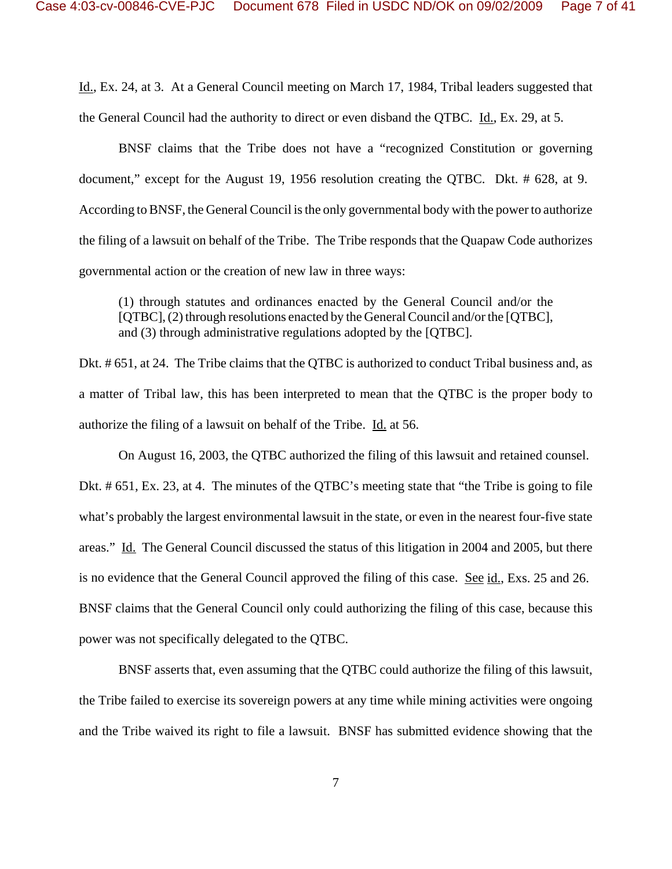Id., Ex. 24, at 3. At a General Council meeting on March 17, 1984, Tribal leaders suggested that the General Council had the authority to direct or even disband the QTBC. Id., Ex. 29, at 5.

BNSF claims that the Tribe does not have a "recognized Constitution or governing document," except for the August 19, 1956 resolution creating the QTBC. Dkt. # 628, at 9. According to BNSF, the General Council is the only governmental body with the power to authorize the filing of a lawsuit on behalf of the Tribe. The Tribe responds that the Quapaw Code authorizes governmental action or the creation of new law in three ways:

(1) through statutes and ordinances enacted by the General Council and/or the [QTBC], (2) through resolutions enacted by the General Council and/or the [QTBC], and (3) through administrative regulations adopted by the [QTBC].

Dkt. # 651, at 24. The Tribe claims that the QTBC is authorized to conduct Tribal business and, as a matter of Tribal law, this has been interpreted to mean that the QTBC is the proper body to authorize the filing of a lawsuit on behalf of the Tribe. Id. at 56.

On August 16, 2003, the QTBC authorized the filing of this lawsuit and retained counsel. Dkt. # 651, Ex. 23, at 4. The minutes of the QTBC's meeting state that "the Tribe is going to file what's probably the largest environmental lawsuit in the state, or even in the nearest four-five state areas." Id. The General Council discussed the status of this litigation in 2004 and 2005, but there is no evidence that the General Council approved the filing of this case. See id., Exs. 25 and 26. BNSF claims that the General Council only could authorizing the filing of this case, because this power was not specifically delegated to the QTBC.

BNSF asserts that, even assuming that the QTBC could authorize the filing of this lawsuit, the Tribe failed to exercise its sovereign powers at any time while mining activities were ongoing and the Tribe waived its right to file a lawsuit. BNSF has submitted evidence showing that the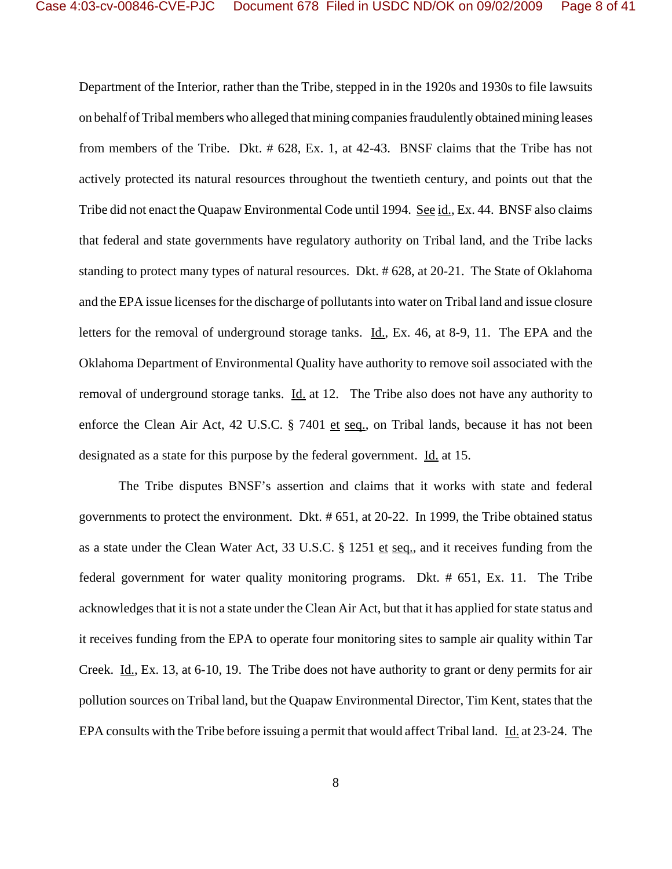Department of the Interior, rather than the Tribe, stepped in in the 1920s and 1930s to file lawsuits on behalf of Tribal members who alleged that mining companies fraudulently obtained mining leases from members of the Tribe. Dkt. # 628, Ex. 1, at 42-43. BNSF claims that the Tribe has not actively protected its natural resources throughout the twentieth century, and points out that the Tribe did not enact the Quapaw Environmental Code until 1994. See id., Ex. 44. BNSF also claims that federal and state governments have regulatory authority on Tribal land, and the Tribe lacks standing to protect many types of natural resources. Dkt. # 628, at 20-21. The State of Oklahoma and the EPA issue licenses for the discharge of pollutants into water on Tribal land and issue closure letters for the removal of underground storage tanks. Id., Ex. 46, at 8-9, 11. The EPA and the Oklahoma Department of Environmental Quality have authority to remove soil associated with the removal of underground storage tanks. Id. at 12. The Tribe also does not have any authority to enforce the Clean Air Act, 42 U.S.C. § 7401 et seq., on Tribal lands, because it has not been designated as a state for this purpose by the federal government. Id. at 15.

The Tribe disputes BNSF's assertion and claims that it works with state and federal governments to protect the environment. Dkt. # 651, at 20-22. In 1999, the Tribe obtained status as a state under the Clean Water Act, 33 U.S.C. § 1251 et seq., and it receives funding from the federal government for water quality monitoring programs. Dkt. # 651, Ex. 11. The Tribe acknowledges that it is not a state under the Clean Air Act, but that it has applied for state status and it receives funding from the EPA to operate four monitoring sites to sample air quality within Tar Creek. Id., Ex. 13, at 6-10, 19. The Tribe does not have authority to grant or deny permits for air pollution sources on Tribal land, but the Quapaw Environmental Director, Tim Kent, states that the EPA consults with the Tribe before issuing a permit that would affect Tribal land. Id. at 23-24. The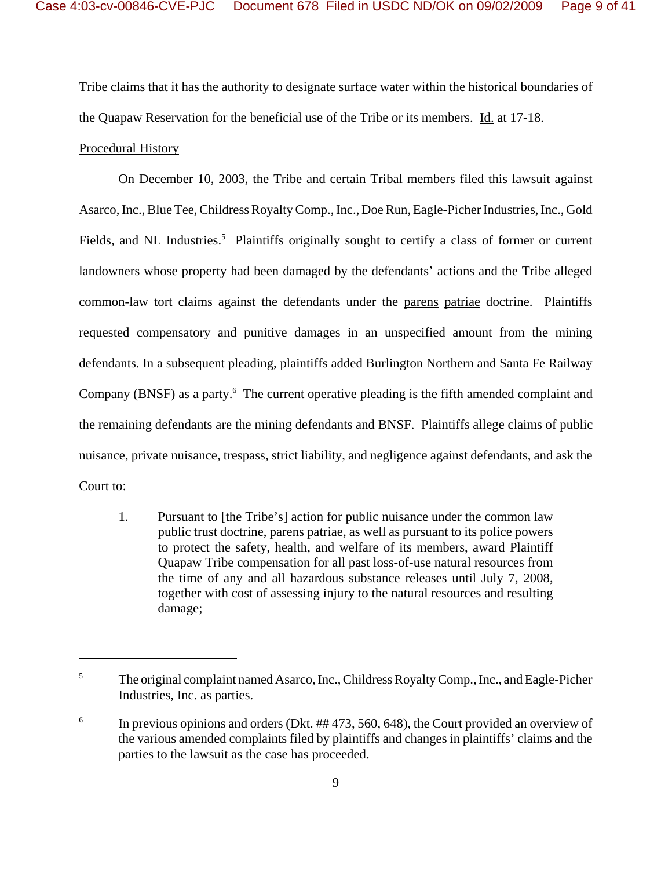Tribe claims that it has the authority to designate surface water within the historical boundaries of the Quapaw Reservation for the beneficial use of the Tribe or its members. Id. at 17-18.

## Procedural History

On December 10, 2003, the Tribe and certain Tribal members filed this lawsuit against Asarco, Inc., Blue Tee, Childress Royalty Comp., Inc., Doe Run, Eagle-Picher Industries, Inc., Gold Fields, and NL Industries.<sup>5</sup> Plaintiffs originally sought to certify a class of former or current landowners whose property had been damaged by the defendants' actions and the Tribe alleged common-law tort claims against the defendants under the parens patriae doctrine. Plaintiffs requested compensatory and punitive damages in an unspecified amount from the mining defendants. In a subsequent pleading, plaintiffs added Burlington Northern and Santa Fe Railway Company (BNSF) as a party.<sup>6</sup> The current operative pleading is the fifth amended complaint and the remaining defendants are the mining defendants and BNSF. Plaintiffs allege claims of public nuisance, private nuisance, trespass, strict liability, and negligence against defendants, and ask the Court to:

1. Pursuant to [the Tribe's] action for public nuisance under the common law public trust doctrine, parens patriae, as well as pursuant to its police powers to protect the safety, health, and welfare of its members, award Plaintiff Quapaw Tribe compensation for all past loss-of-use natural resources from the time of any and all hazardous substance releases until July 7, 2008, together with cost of assessing injury to the natural resources and resulting damage;

<sup>&</sup>lt;sup>5</sup> The original complaint named Asarco, Inc., Childress Royalty Comp., Inc., and Eagle-Picher Industries, Inc. as parties.

<sup>&</sup>lt;sup>6</sup> In previous opinions and orders (Dkt.  $\#$  473, 560, 648), the Court provided an overview of the various amended complaints filed by plaintiffs and changes in plaintiffs' claims and the parties to the lawsuit as the case has proceeded.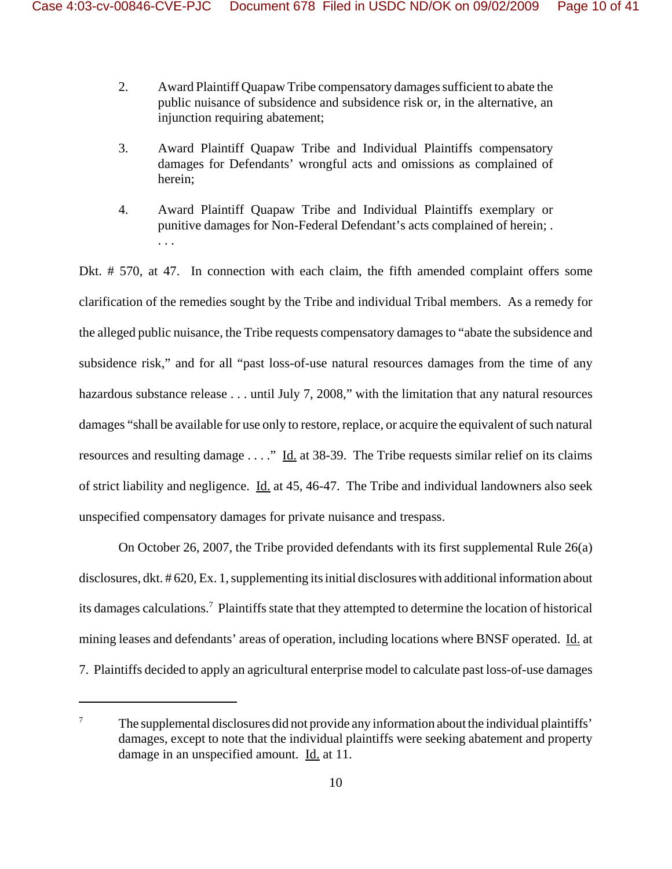- 2. Award Plaintiff Quapaw Tribe compensatory damages sufficient to abate the public nuisance of subsidence and subsidence risk or, in the alternative, an injunction requiring abatement;
- 3. Award Plaintiff Quapaw Tribe and Individual Plaintiffs compensatory damages for Defendants' wrongful acts and omissions as complained of herein;
- 4. Award Plaintiff Quapaw Tribe and Individual Plaintiffs exemplary or punitive damages for Non-Federal Defendant's acts complained of herein; . . . .

Dkt. # 570, at 47. In connection with each claim, the fifth amended complaint offers some clarification of the remedies sought by the Tribe and individual Tribal members. As a remedy for the alleged public nuisance, the Tribe requests compensatory damages to "abate the subsidence and subsidence risk," and for all "past loss-of-use natural resources damages from the time of any hazardous substance release . . . until July 7, 2008," with the limitation that any natural resources damages "shall be available for use only to restore, replace, or acquire the equivalent of such natural resources and resulting damage . . . ." Id. at 38-39. The Tribe requests similar relief on its claims of strict liability and negligence. Id. at 45, 46-47. The Tribe and individual landowners also seek unspecified compensatory damages for private nuisance and trespass.

On October 26, 2007, the Tribe provided defendants with its first supplemental Rule 26(a) disclosures, dkt. # 620, Ex. 1, supplementing its initial disclosures with additional information about its damages calculations.7 Plaintiffs state that they attempted to determine the location of historical mining leases and defendants' areas of operation, including locations where BNSF operated. Id. at 7. Plaintiffs decided to apply an agricultural enterprise model to calculate past loss-of-use damages

 $7\sigma$  The supplemental disclosures did not provide any information about the individual plaintiffs' damages, except to note that the individual plaintiffs were seeking abatement and property damage in an unspecified amount. Id. at 11.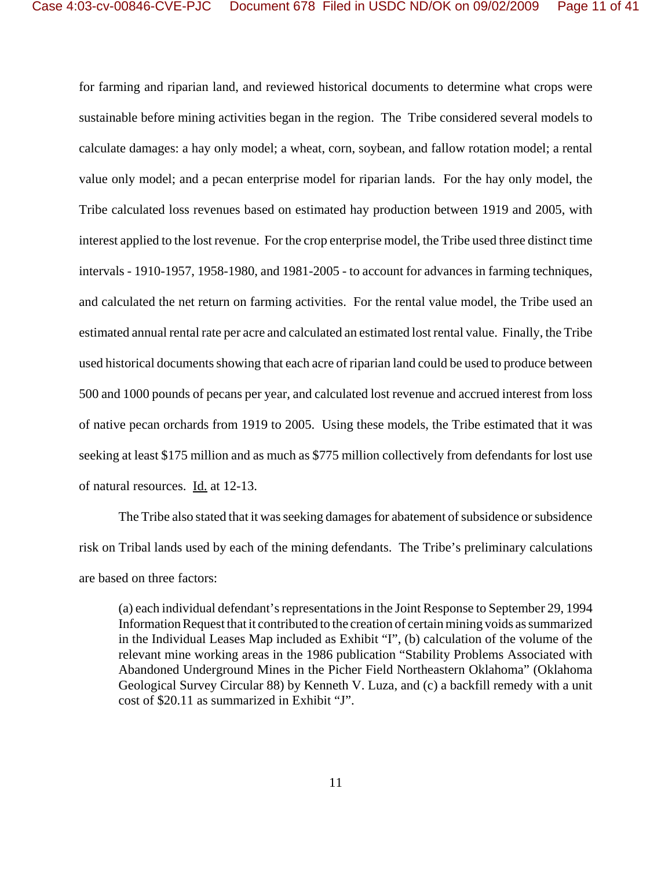for farming and riparian land, and reviewed historical documents to determine what crops were sustainable before mining activities began in the region. The Tribe considered several models to calculate damages: a hay only model; a wheat, corn, soybean, and fallow rotation model; a rental value only model; and a pecan enterprise model for riparian lands. For the hay only model, the Tribe calculated loss revenues based on estimated hay production between 1919 and 2005, with interest applied to the lost revenue. For the crop enterprise model, the Tribe used three distinct time intervals - 1910-1957, 1958-1980, and 1981-2005 - to account for advances in farming techniques, and calculated the net return on farming activities. For the rental value model, the Tribe used an estimated annual rental rate per acre and calculated an estimated lost rental value. Finally, the Tribe used historical documents showing that each acre of riparian land could be used to produce between 500 and 1000 pounds of pecans per year, and calculated lost revenue and accrued interest from loss of native pecan orchards from 1919 to 2005. Using these models, the Tribe estimated that it was seeking at least \$175 million and as much as \$775 million collectively from defendants for lost use of natural resources. Id. at 12-13.

The Tribe also stated that it was seeking damages for abatement of subsidence or subsidence risk on Tribal lands used by each of the mining defendants. The Tribe's preliminary calculations are based on three factors:

(a) each individual defendant's representations in the Joint Response to September 29, 1994 Information Request that it contributed to the creation of certain mining voids as summarized in the Individual Leases Map included as Exhibit "I", (b) calculation of the volume of the relevant mine working areas in the 1986 publication "Stability Problems Associated with Abandoned Underground Mines in the Picher Field Northeastern Oklahoma" (Oklahoma Geological Survey Circular 88) by Kenneth V. Luza, and (c) a backfill remedy with a unit cost of \$20.11 as summarized in Exhibit "J".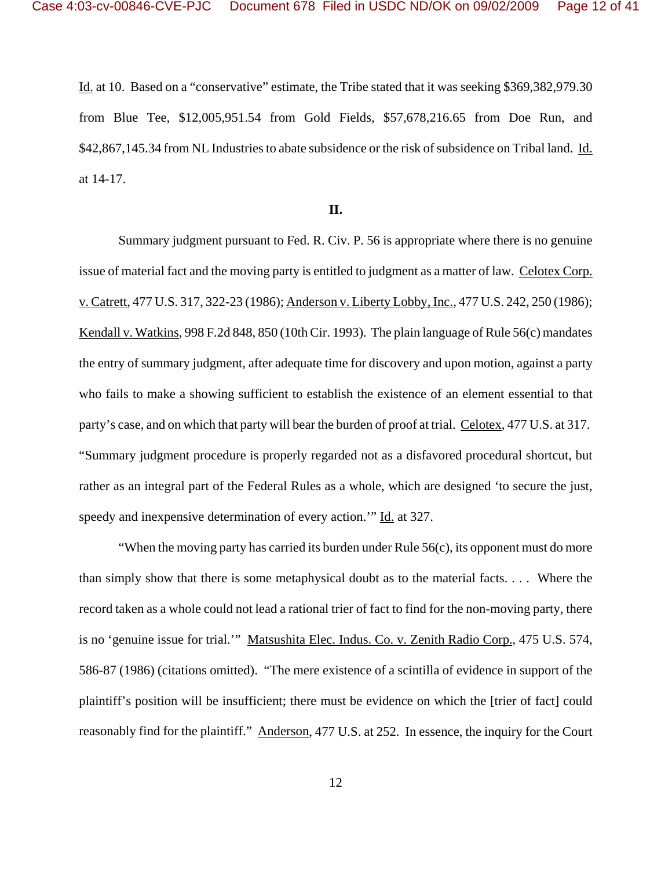Id. at 10. Based on a "conservative" estimate, the Tribe stated that it was seeking \$369,382,979.30 from Blue Tee, \$12,005,951.54 from Gold Fields, \$57,678,216.65 from Doe Run, and \$42,867,145.34 from NL Industries to abate subsidence or the risk of subsidence on Tribal land. Id. at 14-17.

## **II.**

Summary judgment pursuant to Fed. R. Civ. P. 56 is appropriate where there is no genuine issue of material fact and the moving party is entitled to judgment as a matter of law. Celotex Corp. v. Catrett, 477 U.S. 317, 322-23 (1986); Anderson v. Liberty Lobby, Inc., 477 U.S. 242, 250 (1986); Kendall v. Watkins, 998 F.2d 848, 850 (10th Cir. 1993). The plain language of Rule 56(c) mandates the entry of summary judgment, after adequate time for discovery and upon motion, against a party who fails to make a showing sufficient to establish the existence of an element essential to that party's case, and on which that party will bear the burden of proof at trial. Celotex, 477 U.S. at 317. "Summary judgment procedure is properly regarded not as a disfavored procedural shortcut, but rather as an integral part of the Federal Rules as a whole, which are designed 'to secure the just, speedy and inexpensive determination of every action." Id. at 327.

"When the moving party has carried its burden under Rule  $56(c)$ , its opponent must do more than simply show that there is some metaphysical doubt as to the material facts. . . . Where the record taken as a whole could not lead a rational trier of fact to find for the non-moving party, there is no 'genuine issue for trial.'" Matsushita Elec. Indus. Co. v. Zenith Radio Corp., 475 U.S. 574, 586-87 (1986) (citations omitted). "The mere existence of a scintilla of evidence in support of the plaintiff's position will be insufficient; there must be evidence on which the [trier of fact] could reasonably find for the plaintiff." Anderson, 477 U.S. at 252. In essence, the inquiry for the Court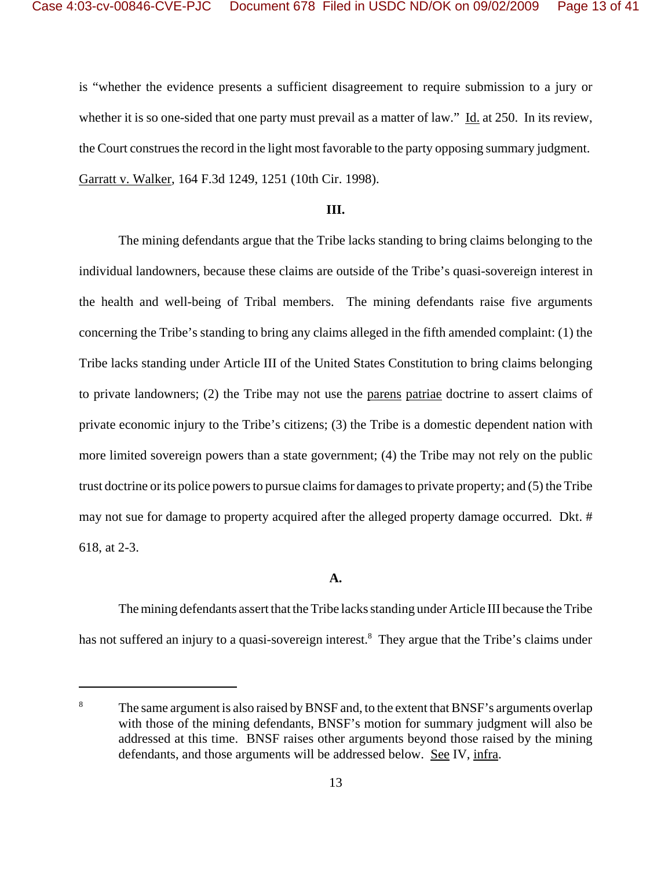is "whether the evidence presents a sufficient disagreement to require submission to a jury or whether it is so one-sided that one party must prevail as a matter of law." Id. at 250. In its review, the Court construes the record in the light most favorable to the party opposing summary judgment. Garratt v. Walker, 164 F.3d 1249, 1251 (10th Cir. 1998).

#### **III.**

The mining defendants argue that the Tribe lacks standing to bring claims belonging to the individual landowners, because these claims are outside of the Tribe's quasi-sovereign interest in the health and well-being of Tribal members. The mining defendants raise five arguments concerning the Tribe's standing to bring any claims alleged in the fifth amended complaint: (1) the Tribe lacks standing under Article III of the United States Constitution to bring claims belonging to private landowners; (2) the Tribe may not use the parens patriae doctrine to assert claims of private economic injury to the Tribe's citizens; (3) the Tribe is a domestic dependent nation with more limited sovereign powers than a state government; (4) the Tribe may not rely on the public trust doctrine or its police powers to pursue claims for damages to private property; and (5) the Tribe may not sue for damage to property acquired after the alleged property damage occurred. Dkt. # 618, at 2-3.

## **A.**

The mining defendants assert that the Tribe lacks standing under Article III because the Tribe has not suffered an injury to a quasi-sovereign interest.<sup>8</sup> They argue that the Tribe's claims under

<sup>&</sup>lt;sup>8</sup> The same argument is also raised by BNSF and, to the extent that BNSF's arguments overlap with those of the mining defendants, BNSF's motion for summary judgment will also be addressed at this time. BNSF raises other arguments beyond those raised by the mining defendants, and those arguments will be addressed below. See IV, infra.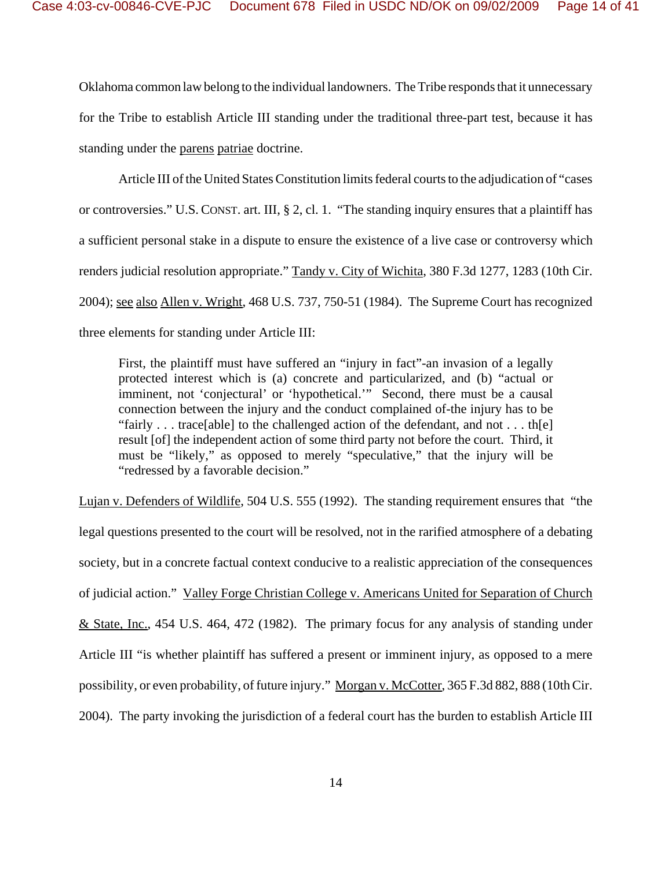Oklahoma common law belong to the individual landowners. The Tribe responds that it unnecessary for the Tribe to establish Article III standing under the traditional three-part test, because it has standing under the parens patriae doctrine.

Article III of the United States Constitution limits federal courts to the adjudication of "cases or controversies." U.S. CONST. art. III, § 2, cl. 1. "The standing inquiry ensures that a plaintiff has a sufficient personal stake in a dispute to ensure the existence of a live case or controversy which renders judicial resolution appropriate." Tandy v. City of Wichita, 380 F.3d 1277, 1283 (10th Cir. 2004); see also Allen v. Wright, 468 U.S. 737, 750-51 (1984). The Supreme Court has recognized three elements for standing under Article III:

First, the plaintiff must have suffered an "injury in fact"-an invasion of a legally protected interest which is (a) concrete and particularized, and (b) "actual or imminent, not 'conjectural' or 'hypothetical.'" Second, there must be a causal connection between the injury and the conduct complained of-the injury has to be "fairly . . . trace[able] to the challenged action of the defendant, and not . . . th[e] result [of] the independent action of some third party not before the court. Third, it must be "likely," as opposed to merely "speculative," that the injury will be "redressed by a favorable decision."

Lujan v. Defenders of Wildlife, 504 U.S. 555 (1992). The standing requirement ensures that "the legal questions presented to the court will be resolved, not in the rarified atmosphere of a debating society, but in a concrete factual context conducive to a realistic appreciation of the consequences of judicial action." Valley Forge Christian College v. Americans United for Separation of Church & State, Inc., 454 U.S. 464, 472 (1982). The primary focus for any analysis of standing under Article III "is whether plaintiff has suffered a present or imminent injury, as opposed to a mere possibility, or even probability, of future injury." Morgan v. McCotter, 365 F.3d 882, 888 (10th Cir. 2004). The party invoking the jurisdiction of a federal court has the burden to establish Article III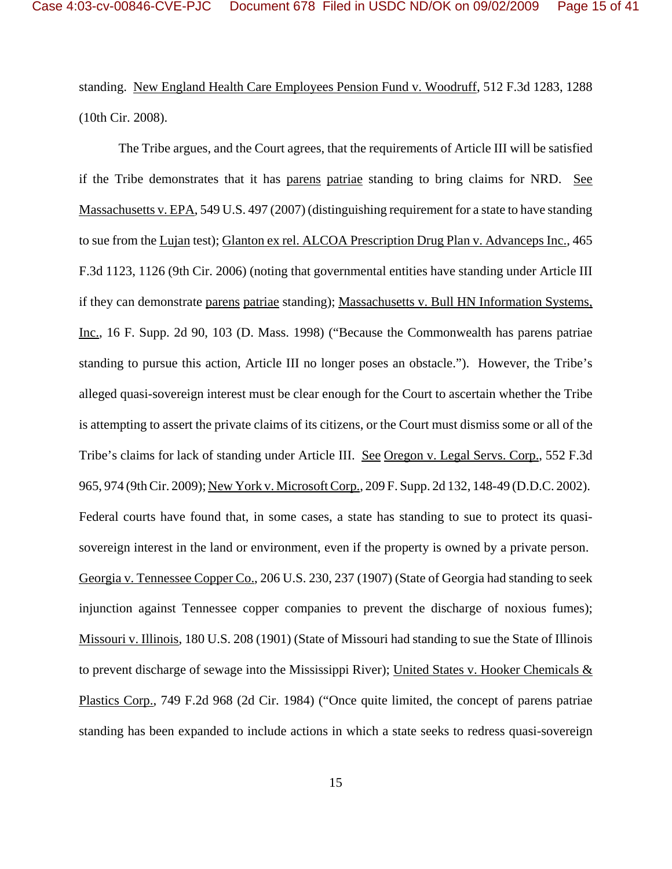standing. New England Health Care Employees Pension Fund v. Woodruff, 512 F.3d 1283, 1288 (10th Cir. 2008).

The Tribe argues, and the Court agrees, that the requirements of Article III will be satisfied if the Tribe demonstrates that it has parens patriae standing to bring claims for NRD. See Massachusetts v. EPA, 549 U.S. 497 (2007) (distinguishing requirement for a state to have standing to sue from the Lujan test); Glanton ex rel. ALCOA Prescription Drug Plan v. Advanceps Inc., 465 F.3d 1123, 1126 (9th Cir. 2006) (noting that governmental entities have standing under Article III if they can demonstrate parens patriae standing); Massachusetts v. Bull HN Information Systems, Inc., 16 F. Supp. 2d 90, 103 (D. Mass. 1998) ("Because the Commonwealth has parens patriae standing to pursue this action, Article III no longer poses an obstacle."). However, the Tribe's alleged quasi-sovereign interest must be clear enough for the Court to ascertain whether the Tribe is attempting to assert the private claims of its citizens, or the Court must dismiss some or all of the Tribe's claims for lack of standing under Article III. See Oregon v. Legal Servs. Corp., 552 F.3d 965, 974 (9th Cir. 2009); New York v. Microsoft Corp., 209 F. Supp. 2d 132, 148-49 (D.D.C. 2002). Federal courts have found that, in some cases, a state has standing to sue to protect its quasisovereign interest in the land or environment, even if the property is owned by a private person. Georgia v. Tennessee Copper Co., 206 U.S. 230, 237 (1907) (State of Georgia had standing to seek injunction against Tennessee copper companies to prevent the discharge of noxious fumes); Missouri v. Illinois, 180 U.S. 208 (1901) (State of Missouri had standing to sue the State of Illinois to prevent discharge of sewage into the Mississippi River); United States v. Hooker Chemicals & Plastics Corp., 749 F.2d 968 (2d Cir. 1984) ("Once quite limited, the concept of parens patriae standing has been expanded to include actions in which a state seeks to redress quasi-sovereign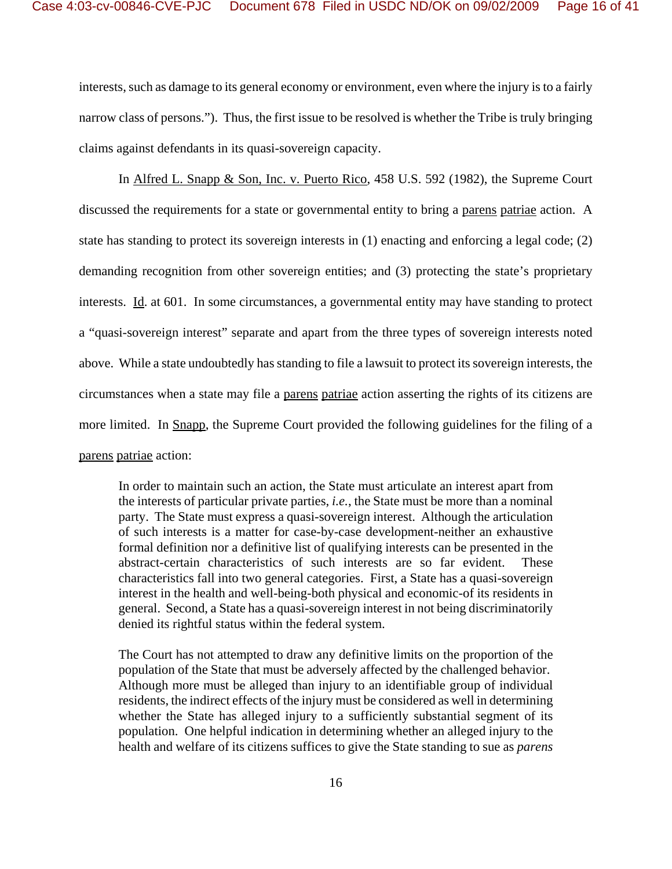interests, such as damage to its general economy or environment, even where the injury is to a fairly narrow class of persons."). Thus, the first issue to be resolved is whether the Tribe is truly bringing claims against defendants in its quasi-sovereign capacity.

In Alfred L. Snapp & Son, Inc. v. Puerto Rico, 458 U.S. 592 (1982), the Supreme Court discussed the requirements for a state or governmental entity to bring a parens patriae action. A state has standing to protect its sovereign interests in (1) enacting and enforcing a legal code; (2) demanding recognition from other sovereign entities; and (3) protecting the state's proprietary interests. Id. at 601. In some circumstances, a governmental entity may have standing to protect a "quasi-sovereign interest" separate and apart from the three types of sovereign interests noted above. While a state undoubtedly has standing to file a lawsuit to protect its sovereign interests, the circumstances when a state may file a parens patriae action asserting the rights of its citizens are more limited. In Snapp, the Supreme Court provided the following guidelines for the filing of a parens patriae action:

In order to maintain such an action, the State must articulate an interest apart from the interests of particular private parties, *i.e.*, the State must be more than a nominal party. The State must express a quasi-sovereign interest. Although the articulation of such interests is a matter for case-by-case development-neither an exhaustive formal definition nor a definitive list of qualifying interests can be presented in the abstract-certain characteristics of such interests are so far evident. These characteristics fall into two general categories. First, a State has a quasi-sovereign interest in the health and well-being-both physical and economic-of its residents in general. Second, a State has a quasi-sovereign interest in not being discriminatorily denied its rightful status within the federal system.

The Court has not attempted to draw any definitive limits on the proportion of the population of the State that must be adversely affected by the challenged behavior. Although more must be alleged than injury to an identifiable group of individual residents, the indirect effects of the injury must be considered as well in determining whether the State has alleged injury to a sufficiently substantial segment of its population. One helpful indication in determining whether an alleged injury to the health and welfare of its citizens suffices to give the State standing to sue as *parens*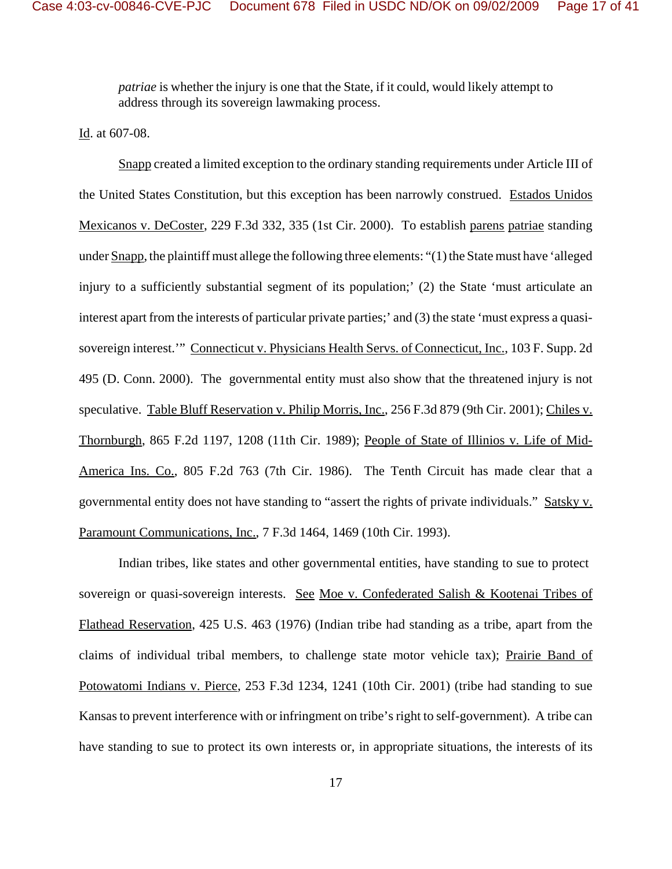*patriae* is whether the injury is one that the State, if it could, would likely attempt to address through its sovereign lawmaking process.

Id. at 607-08.

Snapp created a limited exception to the ordinary standing requirements under Article III of the United States Constitution, but this exception has been narrowly construed. Estados Unidos Mexicanos v. DeCoster, 229 F.3d 332, 335 (1st Cir. 2000). To establish parens patriae standing under Snapp, the plaintiff must allege the following three elements: "(1) the State must have 'alleged injury to a sufficiently substantial segment of its population;' (2) the State 'must articulate an interest apart from the interests of particular private parties;' and (3) the state 'must express a quasisovereign interest." Connecticut v. Physicians Health Servs. of Connecticut, Inc., 103 F. Supp. 2d 495 (D. Conn. 2000). The governmental entity must also show that the threatened injury is not speculative. Table Bluff Reservation v. Philip Morris, Inc., 256 F.3d 879 (9th Cir. 2001); Chiles v. Thornburgh, 865 F.2d 1197, 1208 (11th Cir. 1989); People of State of Illinios v. Life of Mid-America Ins. Co., 805 F.2d 763 (7th Cir. 1986). The Tenth Circuit has made clear that a governmental entity does not have standing to "assert the rights of private individuals." Satsky v. Paramount Communications, Inc., 7 F.3d 1464, 1469 (10th Cir. 1993).

Indian tribes, like states and other governmental entities, have standing to sue to protect sovereign or quasi-sovereign interests. See Moe v. Confederated Salish & Kootenai Tribes of Flathead Reservation, 425 U.S. 463 (1976) (Indian tribe had standing as a tribe, apart from the claims of individual tribal members, to challenge state motor vehicle tax); Prairie Band of Potowatomi Indians v. Pierce, 253 F.3d 1234, 1241 (10th Cir. 2001) (tribe had standing to sue Kansas to prevent interference with or infringment on tribe's right to self-government). A tribe can have standing to sue to protect its own interests or, in appropriate situations, the interests of its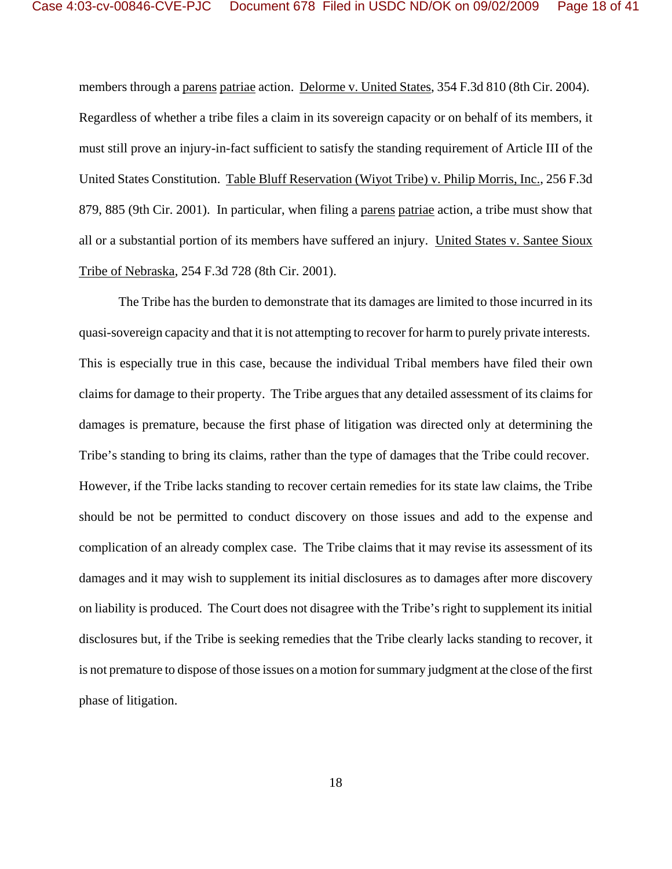members through a parens patriae action. Delorme v. United States, 354 F.3d 810 (8th Cir. 2004). Regardless of whether a tribe files a claim in its sovereign capacity or on behalf of its members, it must still prove an injury-in-fact sufficient to satisfy the standing requirement of Article III of the United States Constitution. Table Bluff Reservation (Wiyot Tribe) v. Philip Morris, Inc., 256 F.3d 879, 885 (9th Cir. 2001). In particular, when filing a parens patriae action, a tribe must show that all or a substantial portion of its members have suffered an injury. United States v. Santee Sioux Tribe of Nebraska, 254 F.3d 728 (8th Cir. 2001).

The Tribe has the burden to demonstrate that its damages are limited to those incurred in its quasi-sovereign capacity and that it is not attempting to recover for harm to purely private interests. This is especially true in this case, because the individual Tribal members have filed their own claims for damage to their property. The Tribe argues that any detailed assessment of its claims for damages is premature, because the first phase of litigation was directed only at determining the Tribe's standing to bring its claims, rather than the type of damages that the Tribe could recover. However, if the Tribe lacks standing to recover certain remedies for its state law claims, the Tribe should be not be permitted to conduct discovery on those issues and add to the expense and complication of an already complex case. The Tribe claims that it may revise its assessment of its damages and it may wish to supplement its initial disclosures as to damages after more discovery on liability is produced. The Court does not disagree with the Tribe's right to supplement its initial disclosures but, if the Tribe is seeking remedies that the Tribe clearly lacks standing to recover, it is not premature to dispose of those issues on a motion for summary judgment at the close of the first phase of litigation.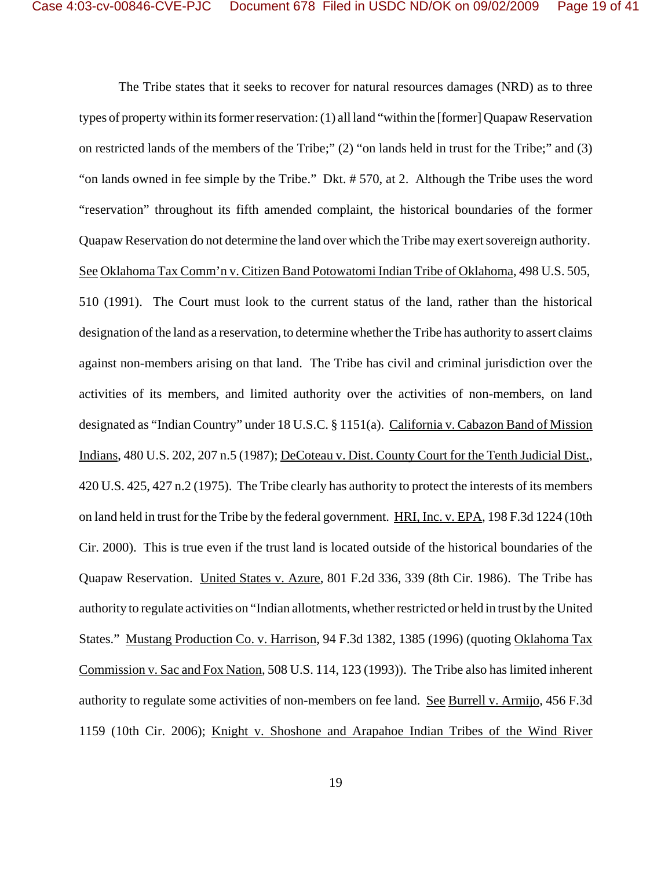The Tribe states that it seeks to recover for natural resources damages (NRD) as to three types of property within its former reservation: (1) all land "within the [former] Quapaw Reservation on restricted lands of the members of the Tribe;" (2) "on lands held in trust for the Tribe;" and (3) "on lands owned in fee simple by the Tribe." Dkt. # 570, at 2. Although the Tribe uses the word "reservation" throughout its fifth amended complaint, the historical boundaries of the former Quapaw Reservation do not determine the land over which the Tribe may exert sovereign authority. See Oklahoma Tax Comm'n v. Citizen Band Potowatomi Indian Tribe of Oklahoma, 498 U.S. 505, 510 (1991). The Court must look to the current status of the land, rather than the historical designation of the land as a reservation, to determine whether the Tribe has authority to assert claims against non-members arising on that land. The Tribe has civil and criminal jurisdiction over the activities of its members, and limited authority over the activities of non-members, on land designated as "Indian Country" under 18 U.S.C. § 1151(a). California v. Cabazon Band of Mission Indians, 480 U.S. 202, 207 n.5 (1987); DeCoteau v. Dist. County Court for the Tenth Judicial Dist., 420 U.S. 425, 427 n.2 (1975). The Tribe clearly has authority to protect the interests of its members on land held in trust for the Tribe by the federal government. HRI, Inc. v. EPA, 198 F.3d 1224 (10th Cir. 2000). This is true even if the trust land is located outside of the historical boundaries of the Quapaw Reservation. United States v. Azure, 801 F.2d 336, 339 (8th Cir. 1986). The Tribe has authority to regulate activities on "Indian allotments, whether restricted or held in trust by the United States." Mustang Production Co. v. Harrison, 94 F.3d 1382, 1385 (1996) (quoting Oklahoma Tax Commission v. Sac and Fox Nation, 508 U.S. 114, 123 (1993)). The Tribe also has limited inherent authority to regulate some activities of non-members on fee land. See Burrell v. Armijo, 456 F.3d 1159 (10th Cir. 2006); Knight v. Shoshone and Arapahoe Indian Tribes of the Wind River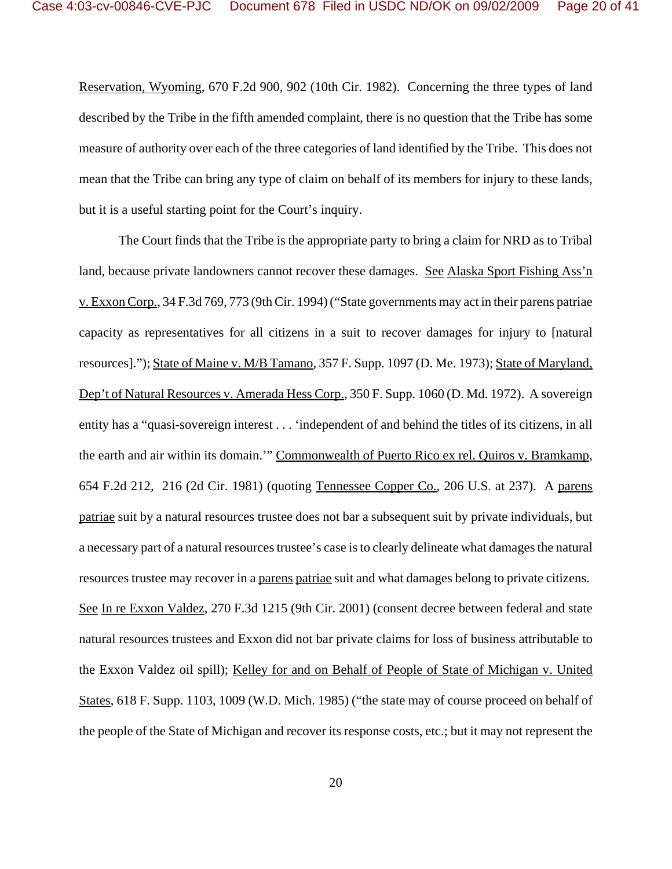Reservation, Wyoming, 670 F.2d 900, 902 (10th Cir. 1982). Concerning the three types of land described by the Tribe in the fifth amended complaint, there is no question that the Tribe has some measure of authority over each of the three categories of land identified by the Tribe. This does not mean that the Tribe can bring any type of claim on behalf of its members for injury to these lands, but it is a useful starting point for the Court's inquiry.

The Court finds that the Tribe is the appropriate party to bring a claim for NRD as to Tribal land, because private landowners cannot recover these damages. See Alaska Sport Fishing Ass'n v. Exxon Corp., 34 F.3d 769, 773 (9th Cir. 1994) ("State governments may act in their parens patriae capacity as representatives for all citizens in a suit to recover damages for injury to [natural resources]."); State of Maine v. M/B Tamano, 357 F. Supp. 1097 (D. Me. 1973); State of Maryland, Dep't of Natural Resources v. Amerada Hess Corp., 350 F. Supp. 1060 (D. Md. 1972). A sovereign entity has a "quasi-sovereign interest . . . 'independent of and behind the titles of its citizens, in all the earth and air within its domain.'" Commonwealth of Puerto Rico ex rel. Quiros v. Bramkamp, 654 F.2d 212, 216 (2d Cir. 1981) (quoting Tennessee Copper Co., 206 U.S. at 237). A parens patriae suit by a natural resources trustee does not bar a subsequent suit by private individuals, but a necessary part of a natural resources trustee's case is to clearly delineate what damages the natural resources trustee may recover in a parens patriae suit and what damages belong to private citizens. See In re Exxon Valdez, 270 F.3d 1215 (9th Cir. 2001) (consent decree between federal and state natural resources trustees and Exxon did not bar private claims for loss of business attributable to the Exxon Valdez oil spill); Kelley for and on Behalf of People of State of Michigan v. United States, 618 F. Supp. 1103, 1009 (W.D. Mich. 1985) ("the state may of course proceed on behalf of the people of the State of Michigan and recover its response costs, etc.; but it may not represent the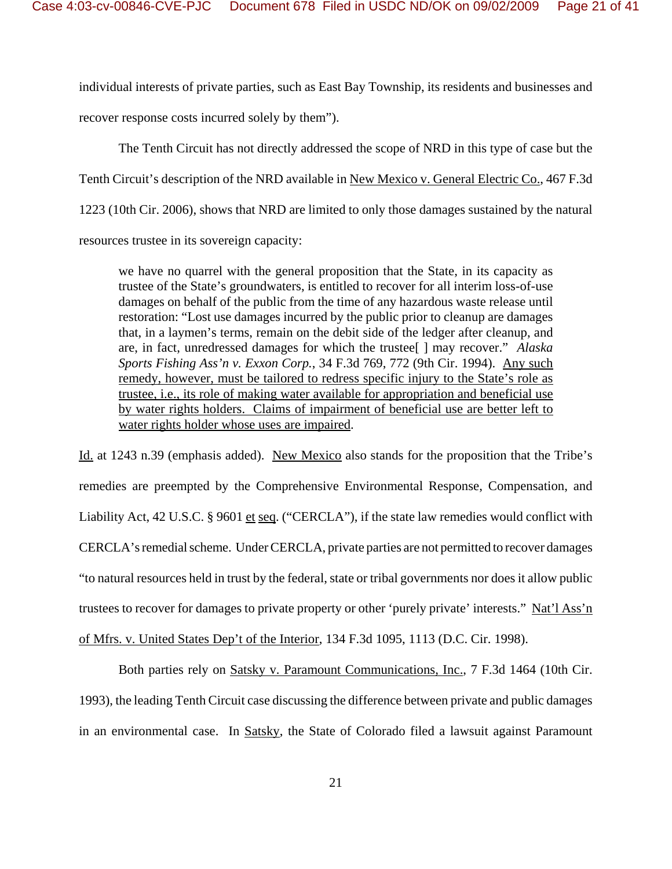individual interests of private parties, such as East Bay Township, its residents and businesses and recover response costs incurred solely by them").

The Tenth Circuit has not directly addressed the scope of NRD in this type of case but the Tenth Circuit's description of the NRD available in New Mexico v. General Electric Co., 467 F.3d 1223 (10th Cir. 2006), shows that NRD are limited to only those damages sustained by the natural resources trustee in its sovereign capacity:

we have no quarrel with the general proposition that the State, in its capacity as trustee of the State's groundwaters, is entitled to recover for all interim loss-of-use damages on behalf of the public from the time of any hazardous waste release until restoration: "Lost use damages incurred by the public prior to cleanup are damages that, in a laymen's terms, remain on the debit side of the ledger after cleanup, and are, in fact, unredressed damages for which the trustee[ ] may recover." *Alaska Sports Fishing Ass'n v. Exxon Corp.*, 34 F.3d 769, 772 (9th Cir. 1994). Any such remedy, however, must be tailored to redress specific injury to the State's role as trustee, i.e., its role of making water available for appropriation and beneficial use by water rights holders. Claims of impairment of beneficial use are better left to water rights holder whose uses are impaired.

Id. at 1243 n.39 (emphasis added). New Mexico also stands for the proposition that the Tribe's remedies are preempted by the Comprehensive Environmental Response, Compensation, and Liability Act, 42 U.S.C. § 9601 et seq. ("CERCLA"), if the state law remedies would conflict with CERCLA's remedial scheme. Under CERCLA, private parties are not permitted to recover damages "to natural resources held in trust by the federal, state or tribal governments nor does it allow public trustees to recover for damages to private property or other 'purely private' interests." Nat'l Ass'n of Mfrs. v. United States Dep't of the Interior, 134 F.3d 1095, 1113 (D.C. Cir. 1998).

Both parties rely on Satsky v. Paramount Communications, Inc., 7 F.3d 1464 (10th Cir. 1993), the leading Tenth Circuit case discussing the difference between private and public damages in an environmental case. In Satsky, the State of Colorado filed a lawsuit against Paramount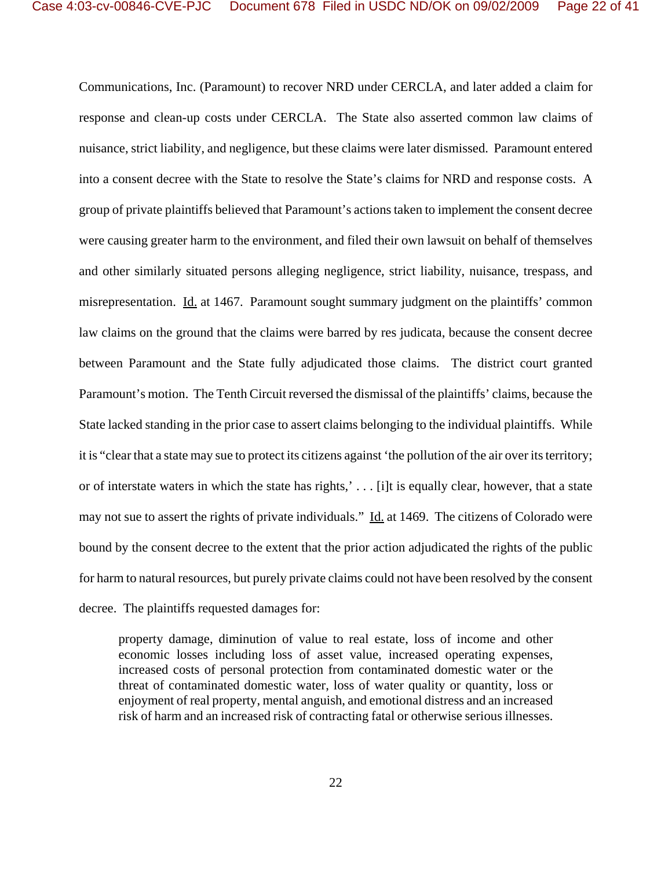Communications, Inc. (Paramount) to recover NRD under CERCLA, and later added a claim for response and clean-up costs under CERCLA. The State also asserted common law claims of nuisance, strict liability, and negligence, but these claims were later dismissed. Paramount entered into a consent decree with the State to resolve the State's claims for NRD and response costs. A group of private plaintiffs believed that Paramount's actions taken to implement the consent decree were causing greater harm to the environment, and filed their own lawsuit on behalf of themselves and other similarly situated persons alleging negligence, strict liability, nuisance, trespass, and misrepresentation. Id. at 1467. Paramount sought summary judgment on the plaintiffs' common law claims on the ground that the claims were barred by res judicata, because the consent decree between Paramount and the State fully adjudicated those claims. The district court granted Paramount's motion. The Tenth Circuit reversed the dismissal of the plaintiffs' claims, because the State lacked standing in the prior case to assert claims belonging to the individual plaintiffs. While it is "clear that a state may sue to protect its citizens against 'the pollution of the air over its territory; or of interstate waters in which the state has rights,' . . . [i]t is equally clear, however, that a state may not sue to assert the rights of private individuals." Id. at 1469. The citizens of Colorado were bound by the consent decree to the extent that the prior action adjudicated the rights of the public for harm to natural resources, but purely private claims could not have been resolved by the consent decree. The plaintiffs requested damages for:

property damage, diminution of value to real estate, loss of income and other economic losses including loss of asset value, increased operating expenses, increased costs of personal protection from contaminated domestic water or the threat of contaminated domestic water, loss of water quality or quantity, loss or enjoyment of real property, mental anguish, and emotional distress and an increased risk of harm and an increased risk of contracting fatal or otherwise serious illnesses.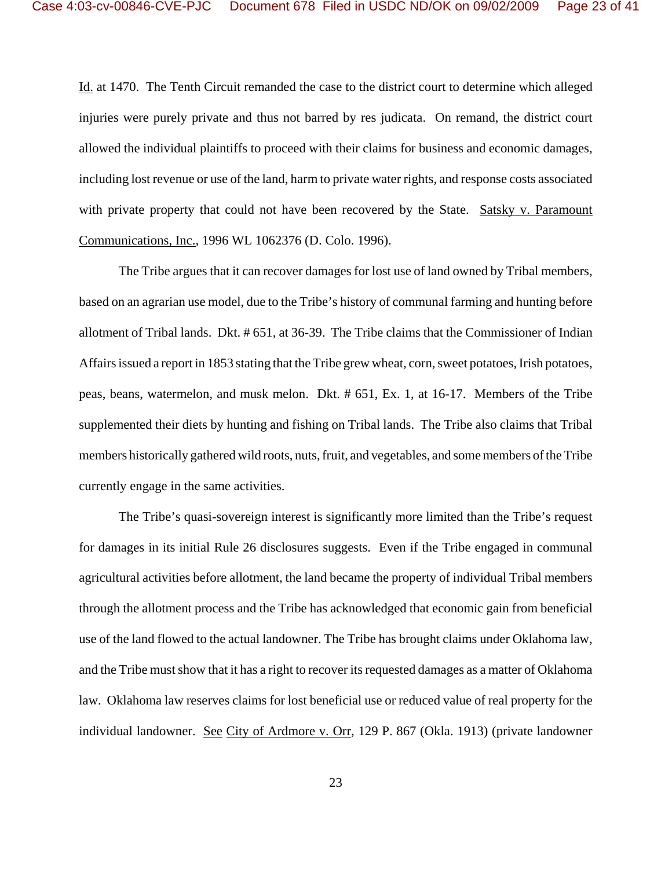Id. at 1470. The Tenth Circuit remanded the case to the district court to determine which alleged injuries were purely private and thus not barred by res judicata. On remand, the district court allowed the individual plaintiffs to proceed with their claims for business and economic damages, including lost revenue or use of the land, harm to private water rights, and response costs associated with private property that could not have been recovered by the State. Satsky v. Paramount Communications, Inc., 1996 WL 1062376 (D. Colo. 1996).

The Tribe argues that it can recover damages for lost use of land owned by Tribal members, based on an agrarian use model, due to the Tribe's history of communal farming and hunting before allotment of Tribal lands. Dkt. # 651, at 36-39. The Tribe claims that the Commissioner of Indian Affairs issued a report in 1853 stating that the Tribe grew wheat, corn, sweet potatoes, Irish potatoes, peas, beans, watermelon, and musk melon. Dkt. # 651, Ex. 1, at 16-17. Members of the Tribe supplemented their diets by hunting and fishing on Tribal lands. The Tribe also claims that Tribal members historically gathered wild roots, nuts, fruit, and vegetables, and some members of the Tribe currently engage in the same activities.

The Tribe's quasi-sovereign interest is significantly more limited than the Tribe's request for damages in its initial Rule 26 disclosures suggests. Even if the Tribe engaged in communal agricultural activities before allotment, the land became the property of individual Tribal members through the allotment process and the Tribe has acknowledged that economic gain from beneficial use of the land flowed to the actual landowner. The Tribe has brought claims under Oklahoma law, and the Tribe must show that it has a right to recover its requested damages as a matter of Oklahoma law. Oklahoma law reserves claims for lost beneficial use or reduced value of real property for the individual landowner. See City of Ardmore v. Orr, 129 P. 867 (Okla. 1913) (private landowner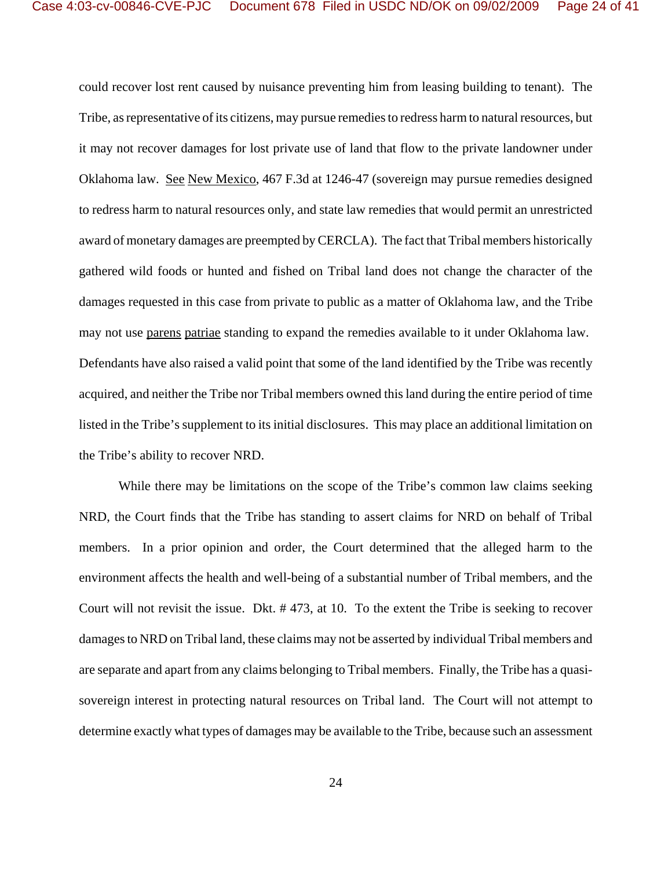could recover lost rent caused by nuisance preventing him from leasing building to tenant). The Tribe, as representative of its citizens, may pursue remedies to redress harm to natural resources, but it may not recover damages for lost private use of land that flow to the private landowner under Oklahoma law. See New Mexico, 467 F.3d at 1246-47 (sovereign may pursue remedies designed to redress harm to natural resources only, and state law remedies that would permit an unrestricted award of monetary damages are preempted by CERCLA). The fact that Tribal members historically gathered wild foods or hunted and fished on Tribal land does not change the character of the damages requested in this case from private to public as a matter of Oklahoma law, and the Tribe may not use parens patriae standing to expand the remedies available to it under Oklahoma law. Defendants have also raised a valid point that some of the land identified by the Tribe was recently acquired, and neither the Tribe nor Tribal members owned this land during the entire period of time listed in the Tribe's supplement to its initial disclosures. This may place an additional limitation on the Tribe's ability to recover NRD.

While there may be limitations on the scope of the Tribe's common law claims seeking NRD, the Court finds that the Tribe has standing to assert claims for NRD on behalf of Tribal members. In a prior opinion and order, the Court determined that the alleged harm to the environment affects the health and well-being of a substantial number of Tribal members, and the Court will not revisit the issue. Dkt. # 473, at 10. To the extent the Tribe is seeking to recover damages to NRD on Tribal land, these claims may not be asserted by individual Tribal members and are separate and apart from any claims belonging to Tribal members. Finally, the Tribe has a quasisovereign interest in protecting natural resources on Tribal land. The Court will not attempt to determine exactly what types of damages may be available to the Tribe, because such an assessment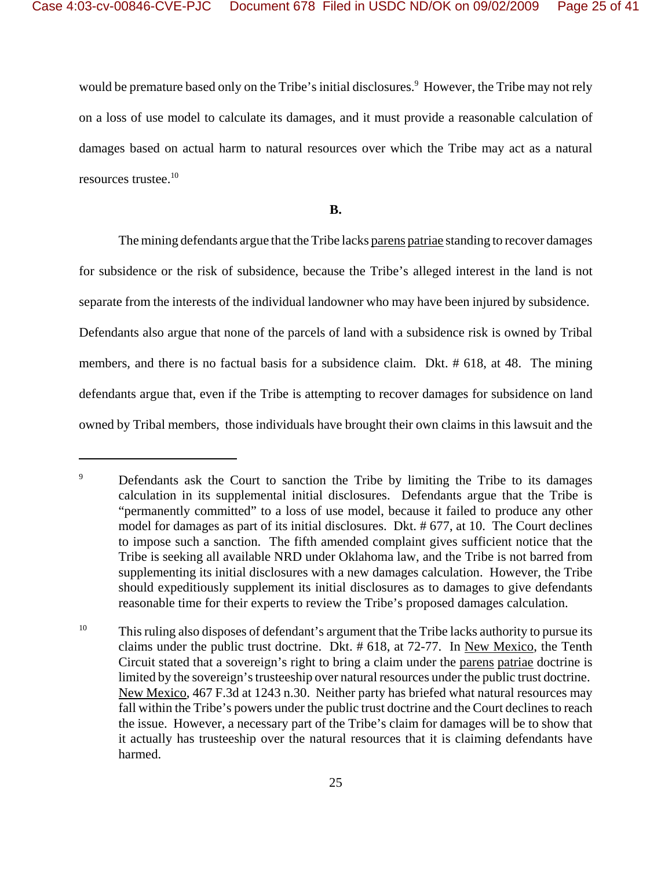would be premature based only on the Tribe's initial disclosures.<sup>9</sup> However, the Tribe may not rely on a loss of use model to calculate its damages, and it must provide a reasonable calculation of damages based on actual harm to natural resources over which the Tribe may act as a natural resources trustee.10

**B.**

The mining defendants argue that the Tribe lacks parens patriae standing to recover damages for subsidence or the risk of subsidence, because the Tribe's alleged interest in the land is not separate from the interests of the individual landowner who may have been injured by subsidence. Defendants also argue that none of the parcels of land with a subsidence risk is owned by Tribal members, and there is no factual basis for a subsidence claim. Dkt. # 618, at 48. The mining defendants argue that, even if the Tribe is attempting to recover damages for subsidence on land owned by Tribal members, those individuals have brought their own claims in this lawsuit and the

<sup>&</sup>lt;sup>9</sup> Defendants ask the Court to sanction the Tribe by limiting the Tribe to its damages calculation in its supplemental initial disclosures. Defendants argue that the Tribe is "permanently committed" to a loss of use model, because it failed to produce any other model for damages as part of its initial disclosures. Dkt. # 677, at 10. The Court declines to impose such a sanction. The fifth amended complaint gives sufficient notice that the Tribe is seeking all available NRD under Oklahoma law, and the Tribe is not barred from supplementing its initial disclosures with a new damages calculation. However, the Tribe should expeditiously supplement its initial disclosures as to damages to give defendants reasonable time for their experts to review the Tribe's proposed damages calculation.

<sup>&</sup>lt;sup>10</sup> This ruling also disposes of defendant's argument that the Tribe lacks authority to pursue its claims under the public trust doctrine. Dkt. # 618, at 72-77. In New Mexico, the Tenth Circuit stated that a sovereign's right to bring a claim under the parens patriae doctrine is limited by the sovereign's trusteeship over natural resources under the public trust doctrine. New Mexico, 467 F.3d at 1243 n.30. Neither party has briefed what natural resources may fall within the Tribe's powers under the public trust doctrine and the Court declines to reach the issue. However, a necessary part of the Tribe's claim for damages will be to show that it actually has trusteeship over the natural resources that it is claiming defendants have harmed.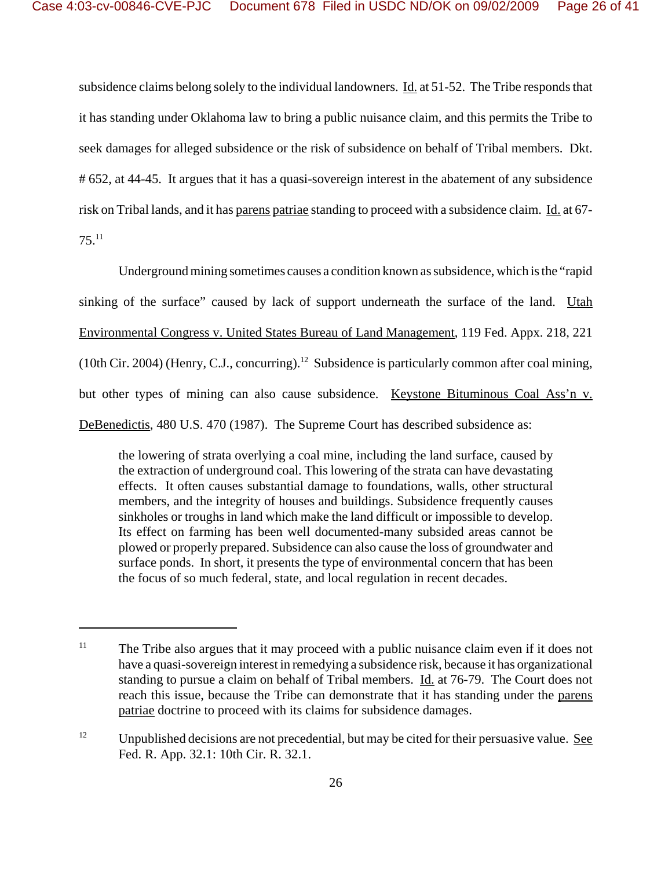subsidence claims belong solely to the individual landowners. Id. at 51-52. The Tribe responds that it has standing under Oklahoma law to bring a public nuisance claim, and this permits the Tribe to seek damages for alleged subsidence or the risk of subsidence on behalf of Tribal members. Dkt. # 652, at 44-45. It argues that it has a quasi-sovereign interest in the abatement of any subsidence risk on Tribal lands, and it has parens patriae standing to proceed with a subsidence claim. Id. at 67- 75.11

Underground mining sometimes causes a condition known as subsidence, which is the "rapid sinking of the surface" caused by lack of support underneath the surface of the land. Utah Environmental Congress v. United States Bureau of Land Management, 119 Fed. Appx. 218, 221 (10th Cir. 2004) (Henry, C.J., concurring).<sup>12</sup> Subsidence is particularly common after coal mining, but other types of mining can also cause subsidence. Keystone Bituminous Coal Ass'n v. DeBenedictis, 480 U.S. 470 (1987). The Supreme Court has described subsidence as:

the lowering of strata overlying a coal mine, including the land surface, caused by the extraction of underground coal. This lowering of the strata can have devastating effects. It often causes substantial damage to foundations, walls, other structural members, and the integrity of houses and buildings. Subsidence frequently causes sinkholes or troughs in land which make the land difficult or impossible to develop. Its effect on farming has been well documented-many subsided areas cannot be plowed or properly prepared. Subsidence can also cause the loss of groundwater and surface ponds. In short, it presents the type of environmental concern that has been the focus of so much federal, state, and local regulation in recent decades.

 $11$  The Tribe also argues that it may proceed with a public nuisance claim even if it does not have a quasi-sovereign interest in remedying a subsidence risk, because it has organizational standing to pursue a claim on behalf of Tribal members. Id. at 76-79. The Court does not reach this issue, because the Tribe can demonstrate that it has standing under the parens patriae doctrine to proceed with its claims for subsidence damages.

<sup>&</sup>lt;sup>12</sup> Unpublished decisions are not precedential, but may be cited for their persuasive value. <u>See</u> Fed. R. App. 32.1: 10th Cir. R. 32.1.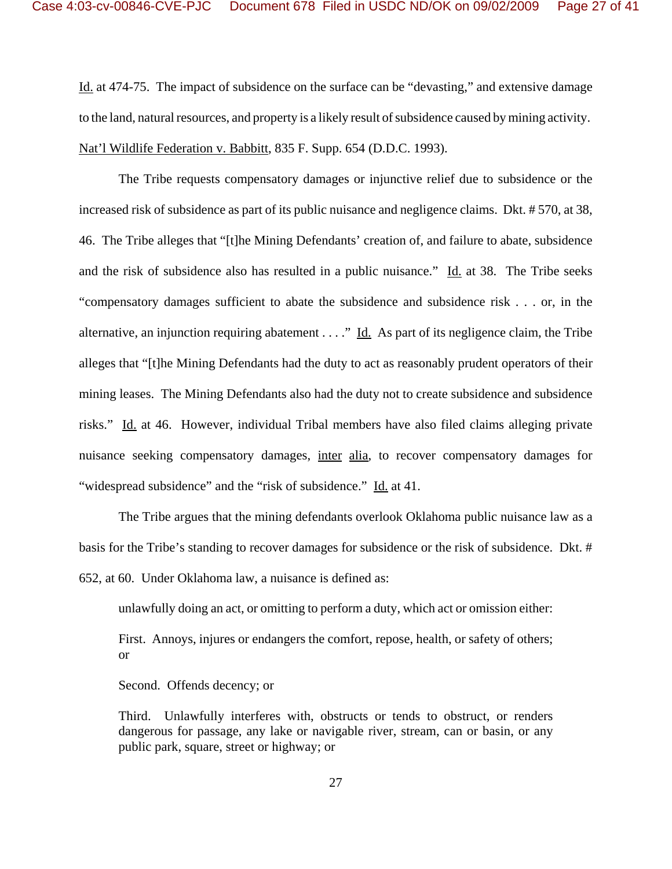Id. at 474-75. The impact of subsidence on the surface can be "devasting," and extensive damage to the land, natural resources, and property is a likely result of subsidence caused by mining activity. Nat'l Wildlife Federation v. Babbitt, 835 F. Supp. 654 (D.D.C. 1993).

The Tribe requests compensatory damages or injunctive relief due to subsidence or the increased risk of subsidence as part of its public nuisance and negligence claims. Dkt. # 570, at 38, 46. The Tribe alleges that "[t]he Mining Defendants' creation of, and failure to abate, subsidence and the risk of subsidence also has resulted in a public nuisance." Id. at 38. The Tribe seeks "compensatory damages sufficient to abate the subsidence and subsidence risk . . . or, in the alternative, an injunction requiring abatement  $\dots$ ." Id. As part of its negligence claim, the Tribe alleges that "[t]he Mining Defendants had the duty to act as reasonably prudent operators of their mining leases. The Mining Defendants also had the duty not to create subsidence and subsidence risks." Id. at 46. However, individual Tribal members have also filed claims alleging private nuisance seeking compensatory damages, inter alia, to recover compensatory damages for "widespread subsidence" and the "risk of subsidence." Id. at 41.

The Tribe argues that the mining defendants overlook Oklahoma public nuisance law as a basis for the Tribe's standing to recover damages for subsidence or the risk of subsidence. Dkt. # 652, at 60. Under Oklahoma law, a nuisance is defined as:

unlawfully doing an act, or omitting to perform a duty, which act or omission either:

First. Annoys, injures or endangers the comfort, repose, health, or safety of others; or

Second. Offends decency; or

Third. Unlawfully interferes with, obstructs or tends to obstruct, or renders dangerous for passage, any lake or navigable river, stream, can or basin, or any public park, square, street or highway; or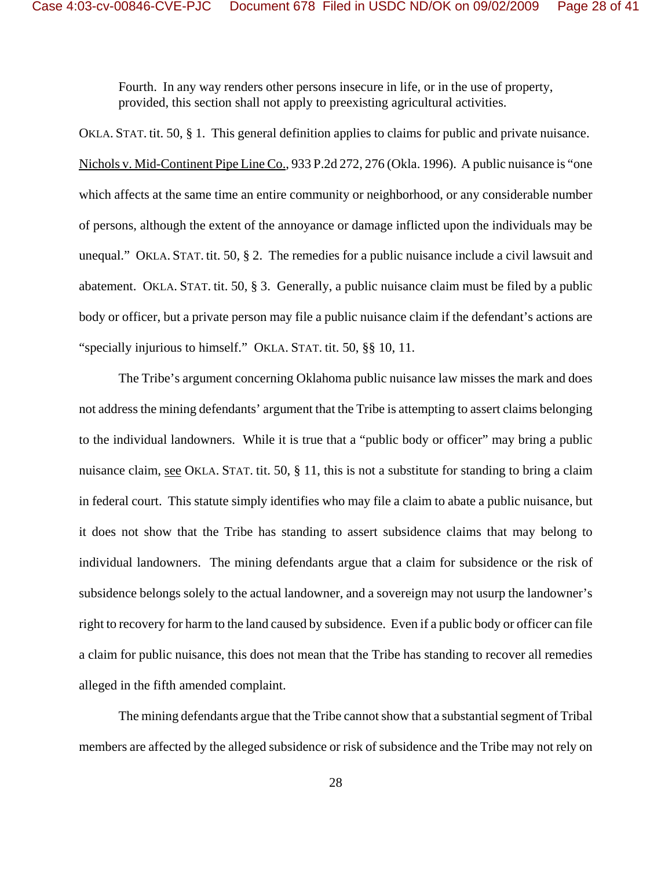Fourth. In any way renders other persons insecure in life, or in the use of property, provided, this section shall not apply to preexisting agricultural activities.

OKLA. STAT. tit. 50, § 1. This general definition applies to claims for public and private nuisance. Nichols v. Mid-Continent Pipe Line Co., 933 P.2d 272, 276 (Okla. 1996). A public nuisance is "one which affects at the same time an entire community or neighborhood, or any considerable number of persons, although the extent of the annoyance or damage inflicted upon the individuals may be unequal." OKLA. STAT. tit. 50, § 2. The remedies for a public nuisance include a civil lawsuit and abatement. OKLA. STAT. tit. 50, § 3. Generally, a public nuisance claim must be filed by a public body or officer, but a private person may file a public nuisance claim if the defendant's actions are "specially injurious to himself." OKLA. STAT. tit. 50, §§ 10, 11.

The Tribe's argument concerning Oklahoma public nuisance law misses the mark and does not address the mining defendants' argument that the Tribe is attempting to assert claims belonging to the individual landowners. While it is true that a "public body or officer" may bring a public nuisance claim, see OKLA. STAT. tit. 50, § 11, this is not a substitute for standing to bring a claim in federal court. This statute simply identifies who may file a claim to abate a public nuisance, but it does not show that the Tribe has standing to assert subsidence claims that may belong to individual landowners. The mining defendants argue that a claim for subsidence or the risk of subsidence belongs solely to the actual landowner, and a sovereign may not usurp the landowner's right to recovery for harm to the land caused by subsidence. Even if a public body or officer can file a claim for public nuisance, this does not mean that the Tribe has standing to recover all remedies alleged in the fifth amended complaint.

The mining defendants argue that the Tribe cannot show that a substantial segment of Tribal members are affected by the alleged subsidence or risk of subsidence and the Tribe may not rely on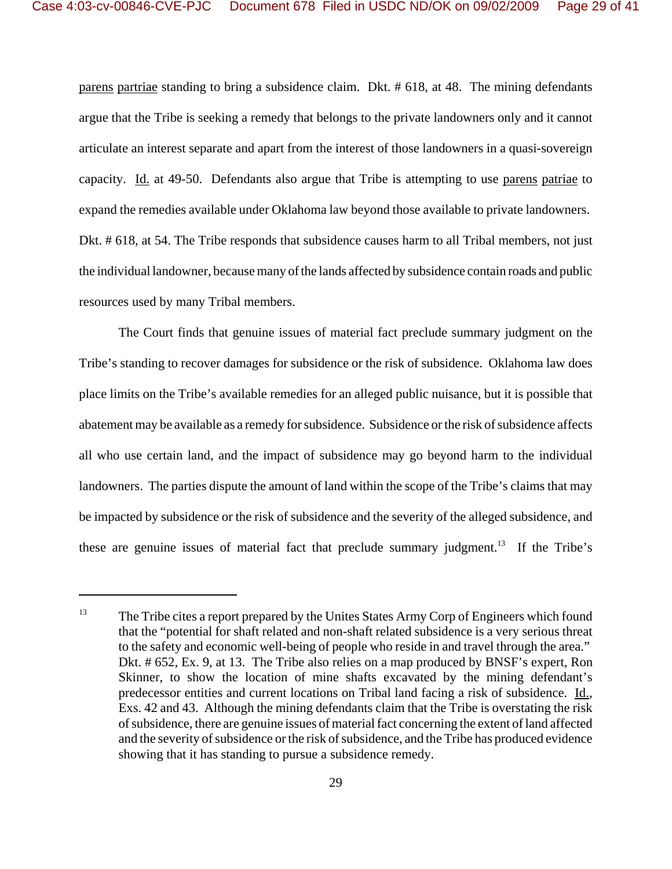parens partriae standing to bring a subsidence claim. Dkt. # 618, at 48. The mining defendants argue that the Tribe is seeking a remedy that belongs to the private landowners only and it cannot articulate an interest separate and apart from the interest of those landowners in a quasi-sovereign capacity. Id. at 49-50. Defendants also argue that Tribe is attempting to use parens patriae to expand the remedies available under Oklahoma law beyond those available to private landowners. Dkt. # 618, at 54. The Tribe responds that subsidence causes harm to all Tribal members, not just the individual landowner, because many of the lands affected by subsidence contain roads and public resources used by many Tribal members.

The Court finds that genuine issues of material fact preclude summary judgment on the Tribe's standing to recover damages for subsidence or the risk of subsidence. Oklahoma law does place limits on the Tribe's available remedies for an alleged public nuisance, but it is possible that abatement may be available as a remedy for subsidence. Subsidence or the risk of subsidence affects all who use certain land, and the impact of subsidence may go beyond harm to the individual landowners. The parties dispute the amount of land within the scope of the Tribe's claims that may be impacted by subsidence or the risk of subsidence and the severity of the alleged subsidence, and these are genuine issues of material fact that preclude summary judgment.<sup>13</sup> If the Tribe's

<sup>&</sup>lt;sup>13</sup> The Tribe cites a report prepared by the Unites States Army Corp of Engineers which found that the "potential for shaft related and non-shaft related subsidence is a very serious threat to the safety and economic well-being of people who reside in and travel through the area." Dkt. # 652, Ex. 9, at 13. The Tribe also relies on a map produced by BNSF's expert, Ron Skinner, to show the location of mine shafts excavated by the mining defendant's predecessor entities and current locations on Tribal land facing a risk of subsidence. Id., Exs. 42 and 43. Although the mining defendants claim that the Tribe is overstating the risk of subsidence, there are genuine issues of material fact concerning the extent of land affected and the severity of subsidence or the risk of subsidence, and the Tribe has produced evidence showing that it has standing to pursue a subsidence remedy.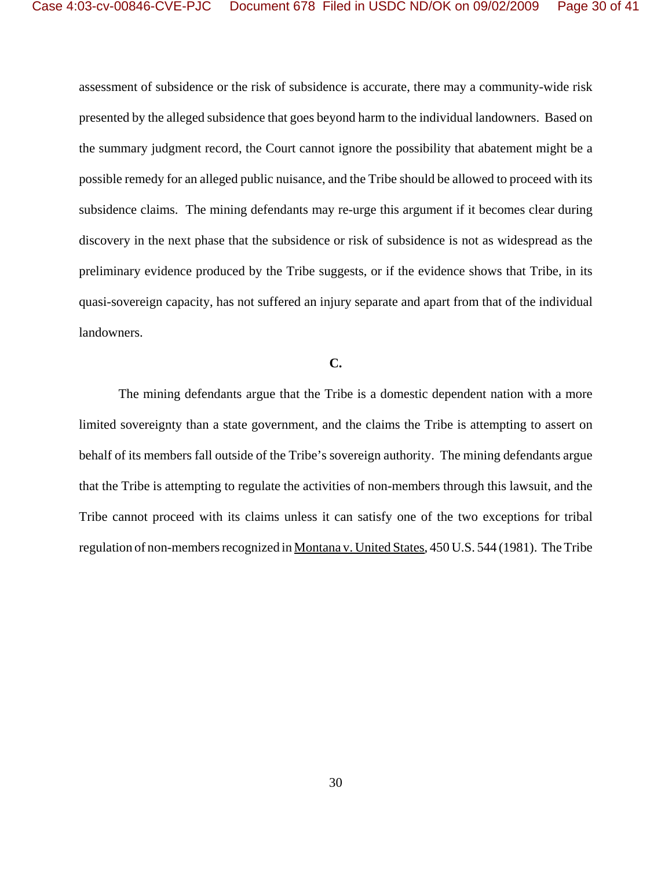assessment of subsidence or the risk of subsidence is accurate, there may a community-wide risk presented by the alleged subsidence that goes beyond harm to the individual landowners. Based on the summary judgment record, the Court cannot ignore the possibility that abatement might be a possible remedy for an alleged public nuisance, and the Tribe should be allowed to proceed with its subsidence claims. The mining defendants may re-urge this argument if it becomes clear during discovery in the next phase that the subsidence or risk of subsidence is not as widespread as the preliminary evidence produced by the Tribe suggests, or if the evidence shows that Tribe, in its quasi-sovereign capacity, has not suffered an injury separate and apart from that of the individual landowners.

## **C.**

The mining defendants argue that the Tribe is a domestic dependent nation with a more limited sovereignty than a state government, and the claims the Tribe is attempting to assert on behalf of its members fall outside of the Tribe's sovereign authority. The mining defendants argue that the Tribe is attempting to regulate the activities of non-members through this lawsuit, and the Tribe cannot proceed with its claims unless it can satisfy one of the two exceptions for tribal regulation of non-members recognized in Montana v. United States, 450 U.S. 544 (1981). The Tribe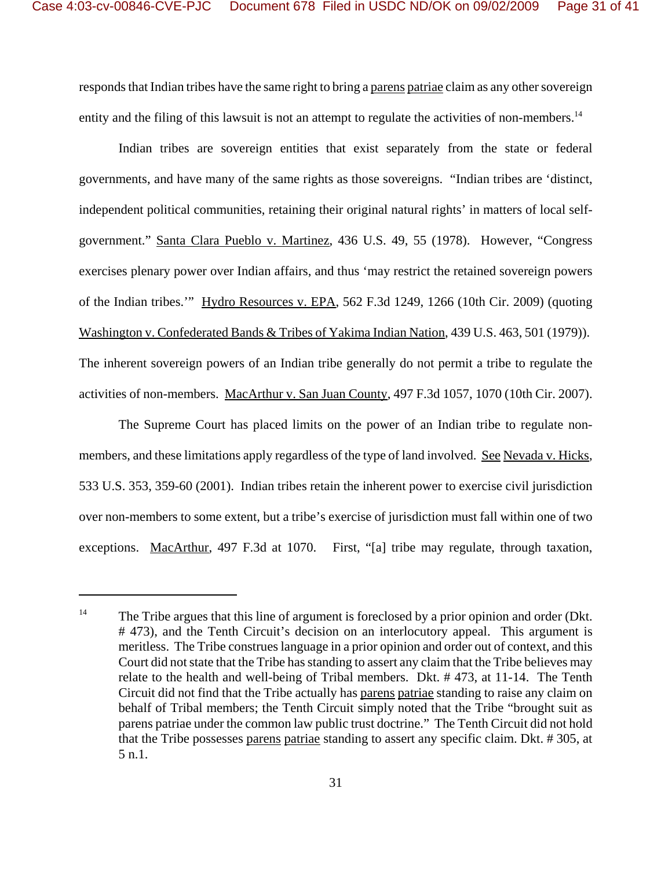responds that Indian tribes have the same right to bring a parens patriae claim as any other sovereign entity and the filing of this lawsuit is not an attempt to regulate the activities of non-members.<sup>14</sup>

Indian tribes are sovereign entities that exist separately from the state or federal governments, and have many of the same rights as those sovereigns. "Indian tribes are 'distinct, independent political communities, retaining their original natural rights' in matters of local selfgovernment." Santa Clara Pueblo v. Martinez, 436 U.S. 49, 55 (1978). However, "Congress exercises plenary power over Indian affairs, and thus 'may restrict the retained sovereign powers of the Indian tribes.'" Hydro Resources v. EPA, 562 F.3d 1249, 1266 (10th Cir. 2009) (quoting Washington v. Confederated Bands & Tribes of Yakima Indian Nation, 439 U.S. 463, 501 (1979)). The inherent sovereign powers of an Indian tribe generally do not permit a tribe to regulate the activities of non-members. MacArthur v. San Juan County, 497 F.3d 1057, 1070 (10th Cir. 2007).

The Supreme Court has placed limits on the power of an Indian tribe to regulate nonmembers, and these limitations apply regardless of the type of land involved. See Nevada v. Hicks, 533 U.S. 353, 359-60 (2001). Indian tribes retain the inherent power to exercise civil jurisdiction over non-members to some extent, but a tribe's exercise of jurisdiction must fall within one of two exceptions. MacArthur, 497 F.3d at 1070. First, "[a] tribe may regulate, through taxation,

<sup>&</sup>lt;sup>14</sup> The Tribe argues that this line of argument is foreclosed by a prior opinion and order (Dkt. # 473), and the Tenth Circuit's decision on an interlocutory appeal. This argument is meritless. The Tribe construes language in a prior opinion and order out of context, and this Court did not state that the Tribe has standing to assert any claim that the Tribe believes may relate to the health and well-being of Tribal members. Dkt. # 473, at 11-14. The Tenth Circuit did not find that the Tribe actually has parens patriae standing to raise any claim on behalf of Tribal members; the Tenth Circuit simply noted that the Tribe "brought suit as parens patriae under the common law public trust doctrine." The Tenth Circuit did not hold that the Tribe possesses parens patriae standing to assert any specific claim. Dkt. # 305, at 5 n.1.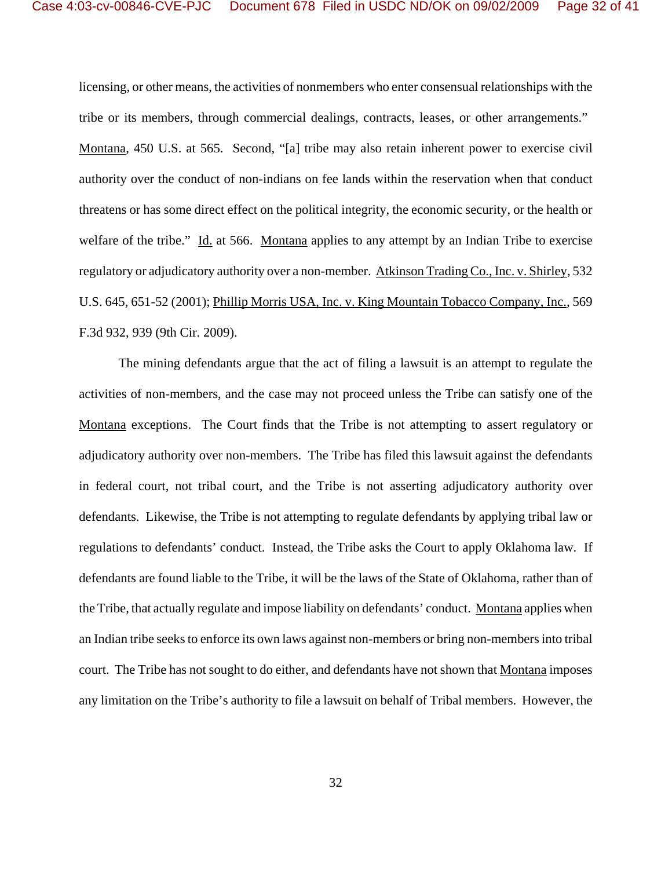licensing, or other means, the activities of nonmembers who enter consensual relationships with the tribe or its members, through commercial dealings, contracts, leases, or other arrangements." Montana, 450 U.S. at 565. Second, "[a] tribe may also retain inherent power to exercise civil authority over the conduct of non-indians on fee lands within the reservation when that conduct threatens or has some direct effect on the political integrity, the economic security, or the health or welfare of the tribe." Id. at 566. Montana applies to any attempt by an Indian Tribe to exercise regulatory or adjudicatory authority over a non-member. Atkinson Trading Co., Inc. v. Shirley, 532 U.S. 645, 651-52 (2001); Phillip Morris USA, Inc. v. King Mountain Tobacco Company, Inc., 569 F.3d 932, 939 (9th Cir. 2009).

The mining defendants argue that the act of filing a lawsuit is an attempt to regulate the activities of non-members, and the case may not proceed unless the Tribe can satisfy one of the Montana exceptions. The Court finds that the Tribe is not attempting to assert regulatory or adjudicatory authority over non-members. The Tribe has filed this lawsuit against the defendants in federal court, not tribal court, and the Tribe is not asserting adjudicatory authority over defendants. Likewise, the Tribe is not attempting to regulate defendants by applying tribal law or regulations to defendants' conduct. Instead, the Tribe asks the Court to apply Oklahoma law. If defendants are found liable to the Tribe, it will be the laws of the State of Oklahoma, rather than of the Tribe, that actually regulate and impose liability on defendants' conduct. Montana applies when an Indian tribe seeks to enforce its own laws against non-members or bring non-members into tribal court. The Tribe has not sought to do either, and defendants have not shown that Montana imposes any limitation on the Tribe's authority to file a lawsuit on behalf of Tribal members. However, the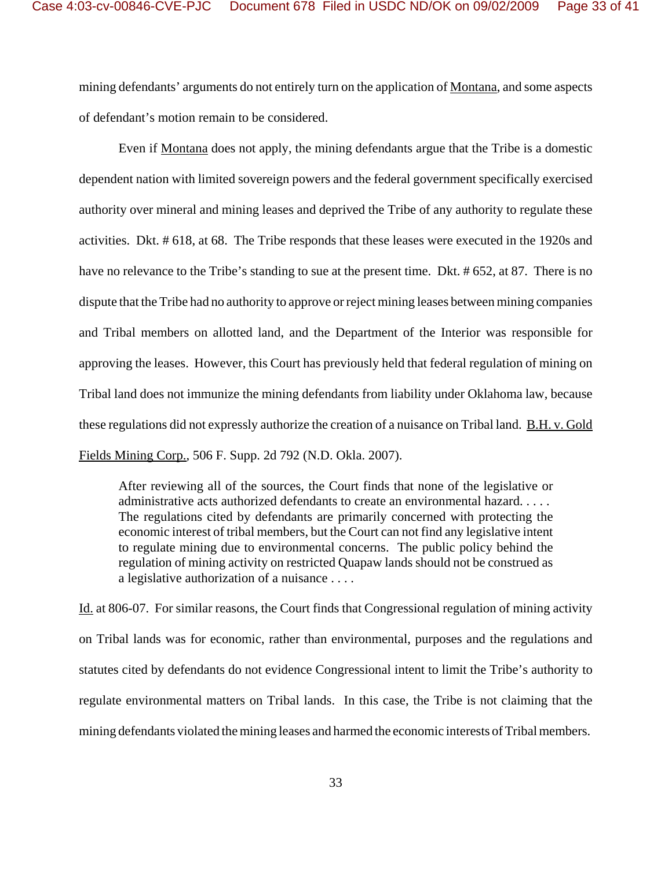mining defendants' arguments do not entirely turn on the application of Montana, and some aspects of defendant's motion remain to be considered.

Even if Montana does not apply, the mining defendants argue that the Tribe is a domestic dependent nation with limited sovereign powers and the federal government specifically exercised authority over mineral and mining leases and deprived the Tribe of any authority to regulate these activities. Dkt. # 618, at 68. The Tribe responds that these leases were executed in the 1920s and have no relevance to the Tribe's standing to sue at the present time. Dkt. # 652, at 87. There is no dispute that the Tribe had no authority to approve or reject mining leases between mining companies and Tribal members on allotted land, and the Department of the Interior was responsible for approving the leases. However, this Court has previously held that federal regulation of mining on Tribal land does not immunize the mining defendants from liability under Oklahoma law, because these regulations did not expressly authorize the creation of a nuisance on Tribal land. B.H. v. Gold Fields Mining Corp., 506 F. Supp. 2d 792 (N.D. Okla. 2007).

After reviewing all of the sources, the Court finds that none of the legislative or administrative acts authorized defendants to create an environmental hazard. . . . . The regulations cited by defendants are primarily concerned with protecting the economic interest of tribal members, but the Court can not find any legislative intent to regulate mining due to environmental concerns. The public policy behind the regulation of mining activity on restricted Quapaw lands should not be construed as a legislative authorization of a nuisance . . . .

Id. at 806-07. For similar reasons, the Court finds that Congressional regulation of mining activity on Tribal lands was for economic, rather than environmental, purposes and the regulations and statutes cited by defendants do not evidence Congressional intent to limit the Tribe's authority to regulate environmental matters on Tribal lands. In this case, the Tribe is not claiming that the mining defendants violated the mining leases and harmed the economic interests of Tribal members.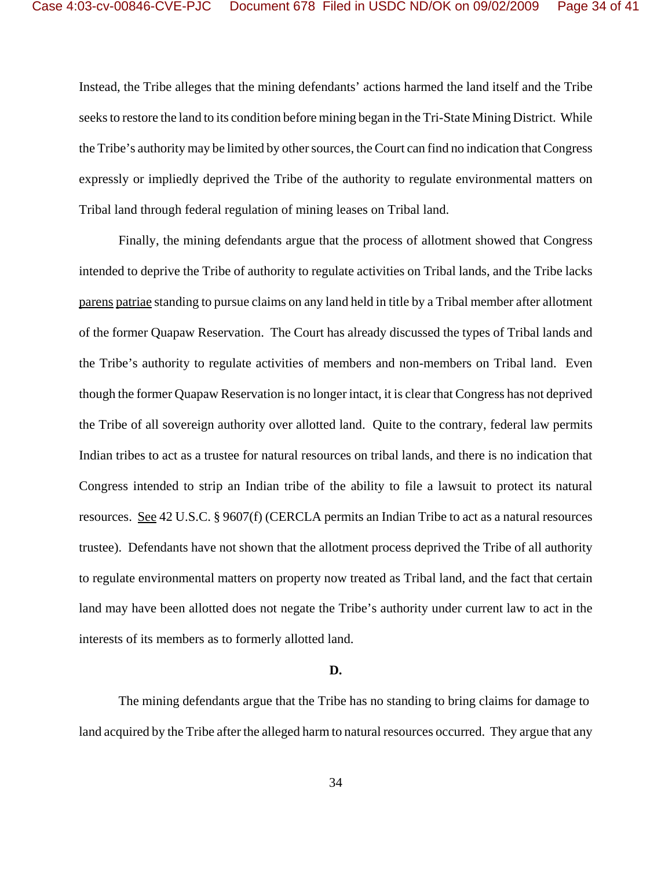Instead, the Tribe alleges that the mining defendants' actions harmed the land itself and the Tribe seeks to restore the land to its condition before mining began in the Tri-State Mining District. While the Tribe's authority may be limited by other sources, the Court can find no indication that Congress expressly or impliedly deprived the Tribe of the authority to regulate environmental matters on Tribal land through federal regulation of mining leases on Tribal land.

Finally, the mining defendants argue that the process of allotment showed that Congress intended to deprive the Tribe of authority to regulate activities on Tribal lands, and the Tribe lacks parens patriae standing to pursue claims on any land held in title by a Tribal member after allotment of the former Quapaw Reservation. The Court has already discussed the types of Tribal lands and the Tribe's authority to regulate activities of members and non-members on Tribal land. Even though the former Quapaw Reservation is no longer intact, it is clear that Congress has not deprived the Tribe of all sovereign authority over allotted land. Quite to the contrary, federal law permits Indian tribes to act as a trustee for natural resources on tribal lands, and there is no indication that Congress intended to strip an Indian tribe of the ability to file a lawsuit to protect its natural resources. See 42 U.S.C. § 9607(f) (CERCLA permits an Indian Tribe to act as a natural resources trustee). Defendants have not shown that the allotment process deprived the Tribe of all authority to regulate environmental matters on property now treated as Tribal land, and the fact that certain land may have been allotted does not negate the Tribe's authority under current law to act in the interests of its members as to formerly allotted land.

## **D.**

The mining defendants argue that the Tribe has no standing to bring claims for damage to land acquired by the Tribe after the alleged harm to natural resources occurred. They argue that any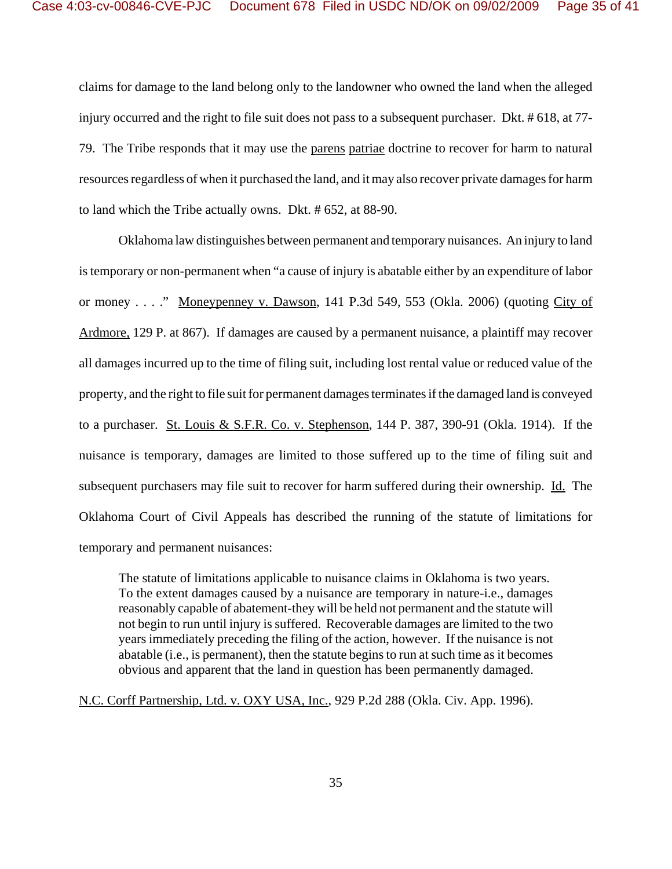claims for damage to the land belong only to the landowner who owned the land when the alleged injury occurred and the right to file suit does not pass to a subsequent purchaser. Dkt. # 618, at 77- 79. The Tribe responds that it may use the parens patriae doctrine to recover for harm to natural resources regardless of when it purchased the land, and it may also recover private damages for harm to land which the Tribe actually owns. Dkt. # 652, at 88-90.

Oklahoma law distinguishes between permanent and temporary nuisances. An injury to land is temporary or non-permanent when "a cause of injury is abatable either by an expenditure of labor or money . . . ." Moneypenney v. Dawson, 141 P.3d 549, 553 (Okla. 2006) (quoting City of Ardmore, 129 P. at 867). If damages are caused by a permanent nuisance, a plaintiff may recover all damages incurred up to the time of filing suit, including lost rental value or reduced value of the property, and the right to file suit for permanent damages terminates if the damaged land is conveyed to a purchaser. St. Louis & S.F.R. Co. v. Stephenson, 144 P. 387, 390-91 (Okla. 1914). If the nuisance is temporary, damages are limited to those suffered up to the time of filing suit and subsequent purchasers may file suit to recover for harm suffered during their ownership. Id. The Oklahoma Court of Civil Appeals has described the running of the statute of limitations for temporary and permanent nuisances:

The statute of limitations applicable to nuisance claims in Oklahoma is two years. To the extent damages caused by a nuisance are temporary in nature-i.e., damages reasonably capable of abatement-they will be held not permanent and the statute will not begin to run until injury is suffered. Recoverable damages are limited to the two years immediately preceding the filing of the action, however. If the nuisance is not abatable (i.e., is permanent), then the statute begins to run at such time as it becomes obvious and apparent that the land in question has been permanently damaged.

N.C. Corff Partnership, Ltd. v. OXY USA, Inc., 929 P.2d 288 (Okla. Civ. App. 1996).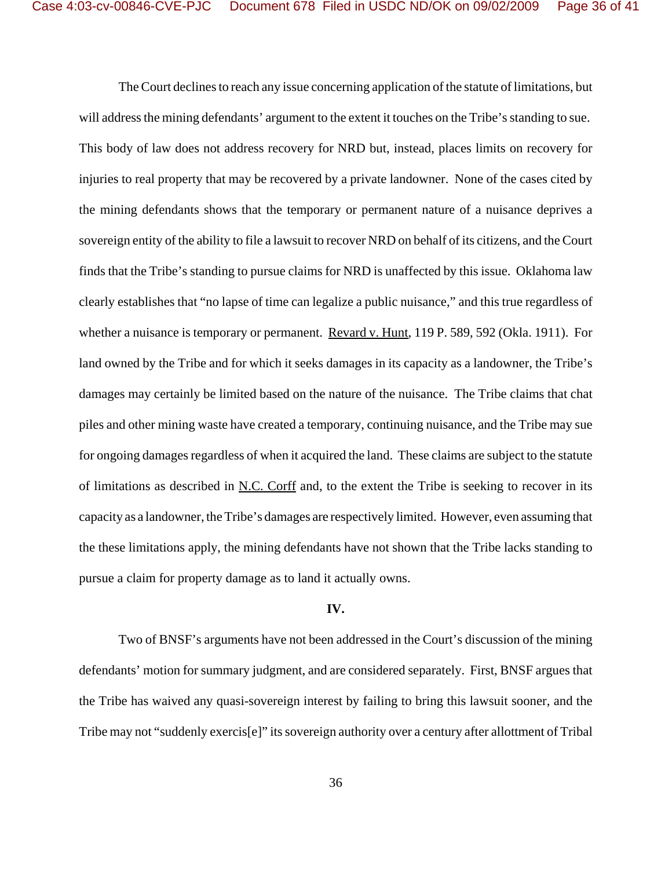The Court declines to reach any issue concerning application of the statute of limitations, but will address the mining defendants' argument to the extent it touches on the Tribe's standing to sue. This body of law does not address recovery for NRD but, instead, places limits on recovery for injuries to real property that may be recovered by a private landowner. None of the cases cited by the mining defendants shows that the temporary or permanent nature of a nuisance deprives a sovereign entity of the ability to file a lawsuit to recover NRD on behalf of its citizens, and the Court finds that the Tribe's standing to pursue claims for NRD is unaffected by this issue. Oklahoma law clearly establishes that "no lapse of time can legalize a public nuisance," and this true regardless of whether a nuisance is temporary or permanent. Revard v. Hunt, 119 P. 589, 592 (Okla. 1911). For land owned by the Tribe and for which it seeks damages in its capacity as a landowner, the Tribe's damages may certainly be limited based on the nature of the nuisance. The Tribe claims that chat piles and other mining waste have created a temporary, continuing nuisance, and the Tribe may sue for ongoing damages regardless of when it acquired the land. These claims are subject to the statute of limitations as described in N.C. Corff and, to the extent the Tribe is seeking to recover in its capacity as a landowner, the Tribe's damages are respectively limited. However, even assuming that the these limitations apply, the mining defendants have not shown that the Tribe lacks standing to pursue a claim for property damage as to land it actually owns.

## **IV.**

Two of BNSF's arguments have not been addressed in the Court's discussion of the mining defendants' motion for summary judgment, and are considered separately. First, BNSF argues that the Tribe has waived any quasi-sovereign interest by failing to bring this lawsuit sooner, and the Tribe may not "suddenly exercis[e]" its sovereign authority over a century after allottment of Tribal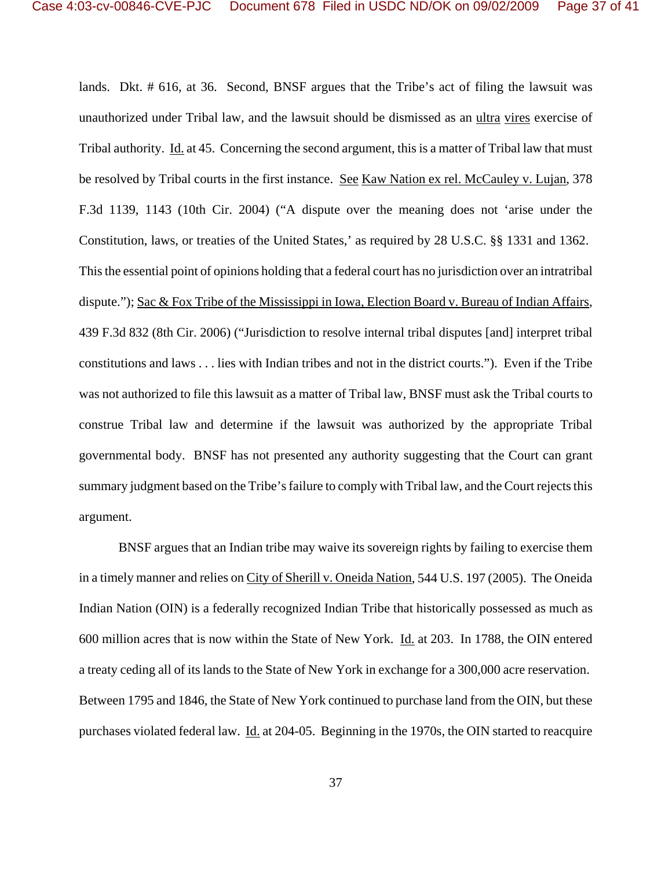lands. Dkt. # 616, at 36. Second, BNSF argues that the Tribe's act of filing the lawsuit was unauthorized under Tribal law, and the lawsuit should be dismissed as an ultra vires exercise of Tribal authority. Id. at 45. Concerning the second argument, this is a matter of Tribal law that must be resolved by Tribal courts in the first instance. See Kaw Nation ex rel. McCauley v. Lujan, 378 F.3d 1139, 1143 (10th Cir. 2004) ("A dispute over the meaning does not 'arise under the Constitution, laws, or treaties of the United States,' as required by 28 U.S.C. §§ 1331 and 1362. This the essential point of opinions holding that a federal court has no jurisdiction over an intratribal dispute."); Sac & Fox Tribe of the Mississippi in Iowa, Election Board v. Bureau of Indian Affairs, 439 F.3d 832 (8th Cir. 2006) ("Jurisdiction to resolve internal tribal disputes [and] interpret tribal constitutions and laws . . . lies with Indian tribes and not in the district courts."). Even if the Tribe was not authorized to file this lawsuit as a matter of Tribal law, BNSF must ask the Tribal courts to construe Tribal law and determine if the lawsuit was authorized by the appropriate Tribal governmental body. BNSF has not presented any authority suggesting that the Court can grant summary judgment based on the Tribe's failure to comply with Tribal law, and the Court rejects this argument.

BNSF argues that an Indian tribe may waive its sovereign rights by failing to exercise them in a timely manner and relies on City of Sherill v. Oneida Nation, 544 U.S. 197 (2005). The Oneida Indian Nation (OIN) is a federally recognized Indian Tribe that historically possessed as much as 600 million acres that is now within the State of New York. Id. at 203. In 1788, the OIN entered a treaty ceding all of its lands to the State of New York in exchange for a 300,000 acre reservation. Between 1795 and 1846, the State of New York continued to purchase land from the OIN, but these purchases violated federal law. Id. at 204-05. Beginning in the 1970s, the OIN started to reacquire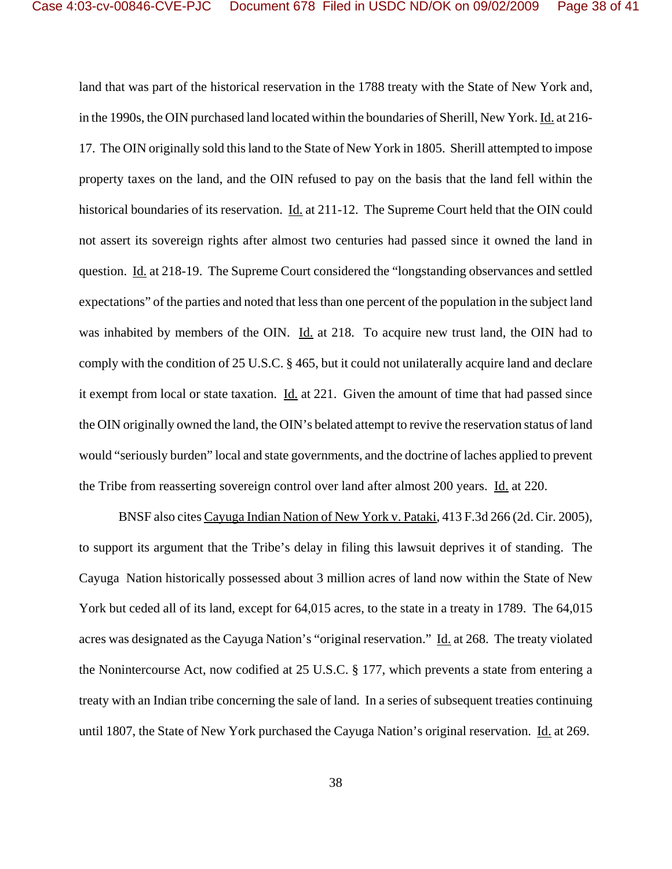land that was part of the historical reservation in the 1788 treaty with the State of New York and, in the 1990s, the OIN purchased land located within the boundaries of Sherill, New York. Id. at 216- 17. The OIN originally sold this land to the State of New York in 1805. Sherill attempted to impose property taxes on the land, and the OIN refused to pay on the basis that the land fell within the historical boundaries of its reservation. Id. at 211-12. The Supreme Court held that the OIN could not assert its sovereign rights after almost two centuries had passed since it owned the land in question. Id. at 218-19. The Supreme Court considered the "longstanding observances and settled expectations" of the parties and noted that less than one percent of the population in the subject land was inhabited by members of the OIN. Id. at 218. To acquire new trust land, the OIN had to comply with the condition of 25 U.S.C. § 465, but it could not unilaterally acquire land and declare it exempt from local or state taxation. Id. at 221. Given the amount of time that had passed since the OIN originally owned the land, the OIN's belated attempt to revive the reservation status of land would "seriously burden" local and state governments, and the doctrine of laches applied to prevent the Tribe from reasserting sovereign control over land after almost 200 years. Id. at 220.

BNSF also cites Cayuga Indian Nation of New York v. Pataki, 413 F.3d 266 (2d. Cir. 2005), to support its argument that the Tribe's delay in filing this lawsuit deprives it of standing. The Cayuga Nation historically possessed about 3 million acres of land now within the State of New York but ceded all of its land, except for 64,015 acres, to the state in a treaty in 1789. The 64,015 acres was designated as the Cayuga Nation's "original reservation." Id. at 268. The treaty violated the Nonintercourse Act, now codified at 25 U.S.C. § 177, which prevents a state from entering a treaty with an Indian tribe concerning the sale of land. In a series of subsequent treaties continuing until 1807, the State of New York purchased the Cayuga Nation's original reservation. Id. at 269.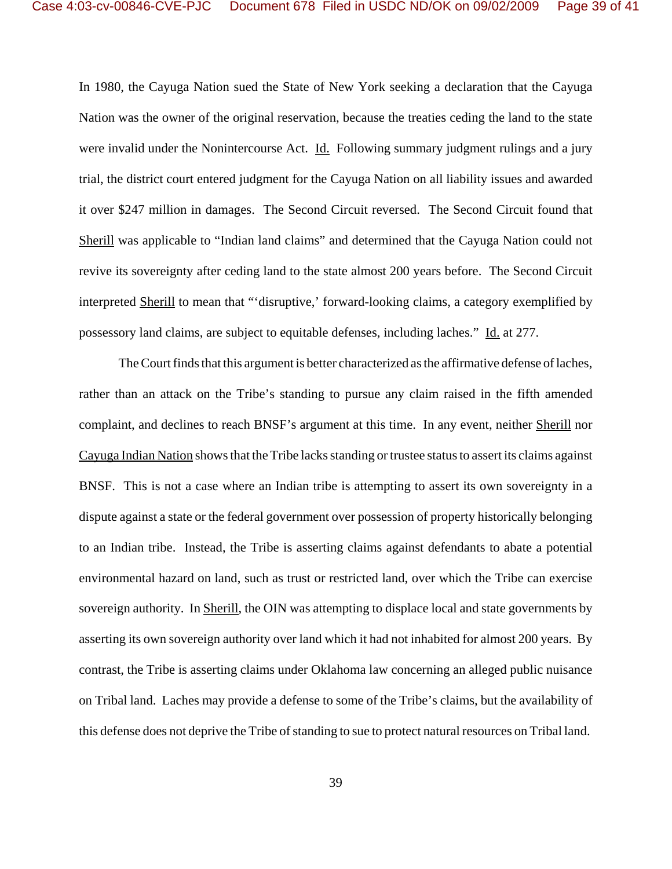In 1980, the Cayuga Nation sued the State of New York seeking a declaration that the Cayuga Nation was the owner of the original reservation, because the treaties ceding the land to the state were invalid under the Nonintercourse Act. Id. Following summary judgment rulings and a jury trial, the district court entered judgment for the Cayuga Nation on all liability issues and awarded it over \$247 million in damages. The Second Circuit reversed. The Second Circuit found that Sherill was applicable to "Indian land claims" and determined that the Cayuga Nation could not revive its sovereignty after ceding land to the state almost 200 years before. The Second Circuit interpreted Sherill to mean that "'disruptive,' forward-looking claims, a category exemplified by possessory land claims, are subject to equitable defenses, including laches." Id. at 277.

The Court finds that this argument is better characterized as the affirmative defense of laches, rather than an attack on the Tribe's standing to pursue any claim raised in the fifth amended complaint, and declines to reach BNSF's argument at this time. In any event, neither Sherill nor Cayuga Indian Nation shows that the Tribe lacks standing or trustee status to assert its claims against BNSF. This is not a case where an Indian tribe is attempting to assert its own sovereignty in a dispute against a state or the federal government over possession of property historically belonging to an Indian tribe. Instead, the Tribe is asserting claims against defendants to abate a potential environmental hazard on land, such as trust or restricted land, over which the Tribe can exercise sovereign authority. In Sherill, the OIN was attempting to displace local and state governments by asserting its own sovereign authority over land which it had not inhabited for almost 200 years. By contrast, the Tribe is asserting claims under Oklahoma law concerning an alleged public nuisance on Tribal land. Laches may provide a defense to some of the Tribe's claims, but the availability of this defense does not deprive the Tribe of standing to sue to protect natural resources on Tribal land.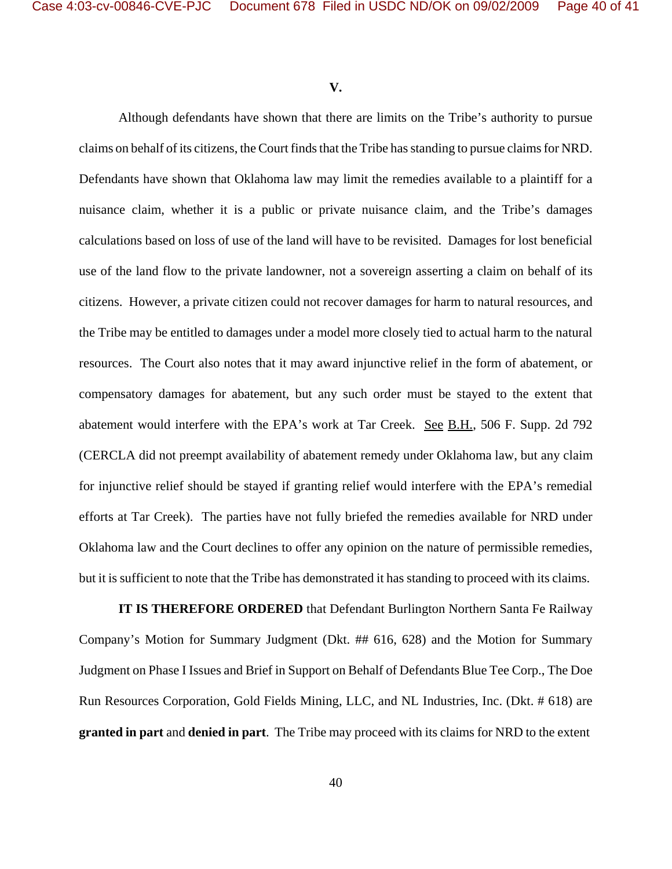**V.**

Although defendants have shown that there are limits on the Tribe's authority to pursue claims on behalf of its citizens, the Court finds that the Tribe has standing to pursue claims for NRD. Defendants have shown that Oklahoma law may limit the remedies available to a plaintiff for a nuisance claim, whether it is a public or private nuisance claim, and the Tribe's damages calculations based on loss of use of the land will have to be revisited. Damages for lost beneficial use of the land flow to the private landowner, not a sovereign asserting a claim on behalf of its citizens. However, a private citizen could not recover damages for harm to natural resources, and the Tribe may be entitled to damages under a model more closely tied to actual harm to the natural resources. The Court also notes that it may award injunctive relief in the form of abatement, or compensatory damages for abatement, but any such order must be stayed to the extent that abatement would interfere with the EPA's work at Tar Creek. See B.H., 506 F. Supp. 2d 792 (CERCLA did not preempt availability of abatement remedy under Oklahoma law, but any claim for injunctive relief should be stayed if granting relief would interfere with the EPA's remedial efforts at Tar Creek). The parties have not fully briefed the remedies available for NRD under Oklahoma law and the Court declines to offer any opinion on the nature of permissible remedies, but it is sufficient to note that the Tribe has demonstrated it has standing to proceed with its claims.

**IT IS THEREFORE ORDERED** that Defendant Burlington Northern Santa Fe Railway Company's Motion for Summary Judgment (Dkt. ## 616, 628) and the Motion for Summary Judgment on Phase I Issues and Brief in Support on Behalf of Defendants Blue Tee Corp., The Doe Run Resources Corporation, Gold Fields Mining, LLC, and NL Industries, Inc. (Dkt. # 618) are **granted in part** and **denied in part**. The Tribe may proceed with its claims for NRD to the extent